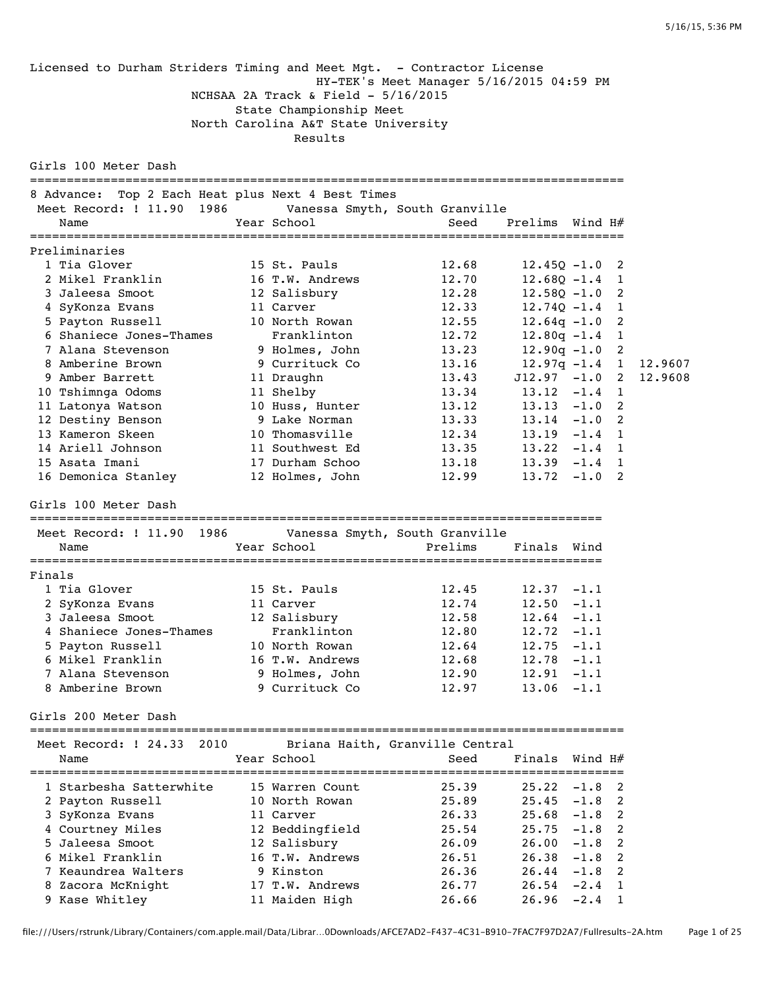Licensed to Durham Striders Timing and Meet Mgt. - Contractor License HY-TEK's Meet Manager 5/16/2015 04:59 PM NCHSAA 2A Track & Field - 5/16/2015 State Championship Meet North Carolina A&T State University Results Girls 100 Meter Dash ================================================================================= 8 Advance: Top 2 Each Heat plus Next 4 Best Times Meet Record: ! 11.90 1986 Vanessa Smyth, South Granville Name  $Year School$   $Sened$   $Prelims$   $Wind H#$ ================================================================================= Preliminaries 1 Tia Glover 15 St. Pauls 12.68 12.45Q -1.0 2 2 Mikel Franklin 16 T.W. Andrews 12.70 12.68Q -1.4 1 3 Jaleesa Smoot 12 Salisbury 12.28 12.58Q -1.0 2 4 SyKonza Evans 11 Carver 12.33 12.74Q -1.4 1 5 Payton Russell 10 North Rowan 12.55 12.64q -1.0 2 6 Shaniece Jones-Thames Franklinton 12.72 12.80q -1.4 1 7 Alana Stevenson 9 Holmes, John 13.23 12.90q -1.0 2 8 Amberine Brown 9 Currituck Co 13.16 12.97q -1.4 1 12.9607 9 Amber Barrett 11 Draughn 13.43 J12.97 -1.0 2 12.9608 10 Tshimnga Odoms 11 Shelby 13.34 13.12 -1.4 1 11 Latonya Watson 10 Huss, Hunter 13.12 13.13 -1.0 2 12 Destiny Benson 9 Lake Norman 13.33 13.14 -1.0 2 13 Kameron Skeen 10 Thomasville 12.34 13.19 -1.4 1 14 Ariell Johnson 11 Southwest Ed 13.35 13.22 -1.4 1 15 Asata Imani 17 Durham Schoo 13.18 13.39 -1.4 1 16 Demonica Stanley 12 Holmes, John 12.99 13.72 -1.0 2 Girls 100 Meter Dash ============================================================================== Meet Record: ! 11.90 1986 Vanessa Smyth, South Granville Name Year School Prelims Finals Wind ============================================================================== Finals 1 Tia Glover 15 St. Pauls 12.45 12.37 -1.1 2 SyKonza Evans 11 Carver 12.74 12.50 -1.1 3 Jaleesa Smoot 12 Salisbury 12.58 12.64 -1.1 4 Shaniece Jones-Thames Franklinton 12.80 12.72 -1.1 5 Payton Russell 10 North Rowan 12.64 12.75 -1.1 6 Mikel Franklin 16 T.W. Andrews 12.68 12.78 -1.1 7 Alana Stevenson 9 Holmes, John 12.90 12.91 -1.1 8 Amberine Brown 9 Currituck Co 12.97 13.06 -1.1 Girls 200 Meter Dash ================================================================================= Meet Record: ! 24.33 2010 Briana Haith, Granville Central Name  $Year School$  School Seed Finals Wind H# ================================================================================= 1 Starbesha Satterwhite 15 Warren Count 25.39 25.22 -1.8 2 2 Payton Russell 10 North Rowan 25.89 25.45 -1.8 2 3 SyKonza Evans 11 Carver 26.33 25.68 -1.8 2 4 Courtney Miles 12 Beddingfield 25.54 25.75 -1.8 2 5 Jaleesa Smoot 12 Salisbury 26.09 26.00 -1.8 2 6 Mikel Franklin 16 T.W. Andrews 26.51 26.38 -1.8 2 7 Keaundrea Walters 9 Kinston 26.36 26.44 -1.8 2 8 Zacora McKnight 17 T.W. Andrews 26.77 26.54 -2.4 1 9 Kase Whitley 11 Maiden High 26.66 26.96 -2.4 1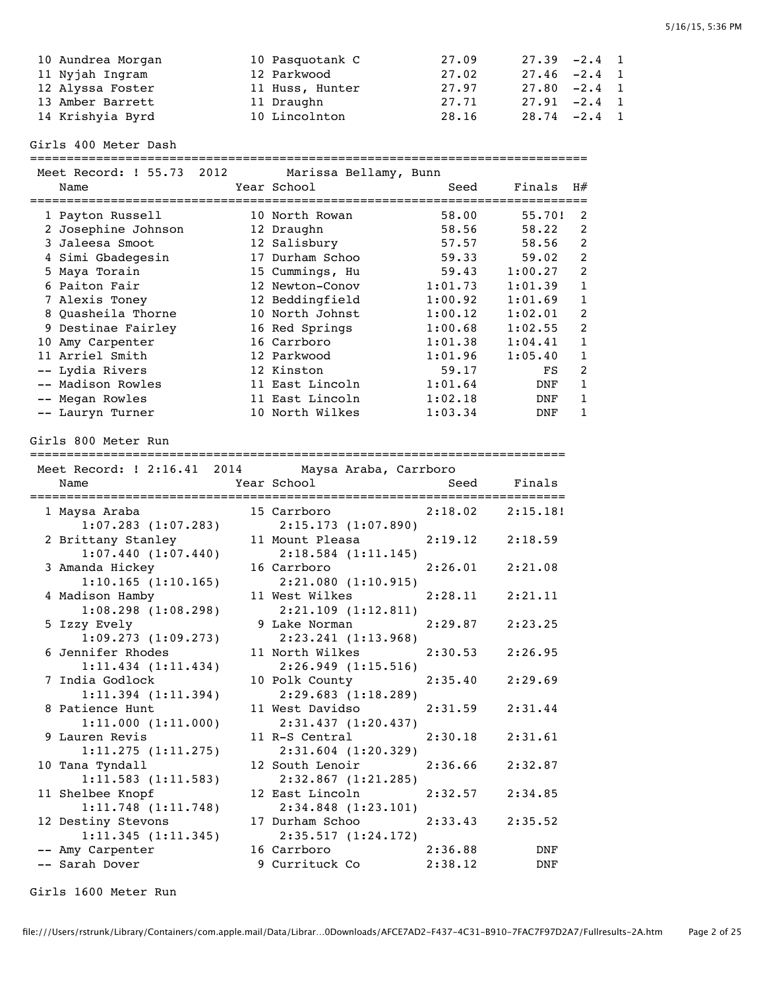| 10 Aundrea Morgan | 10 Pasquotank C | 27.09 | $27.39 -2.4$ 1  |  |
|-------------------|-----------------|-------|-----------------|--|
| 11 Nyjah Ingram   | 12 Parkwood     | 27.02 | $27.46 - 2.4$ 1 |  |
| 12 Alyssa Foster  | 11 Huss, Hunter | 27.97 | $27.80 -2.4$ 1  |  |
| 13 Amber Barrett  | 11 Draughn      | 27.71 | $27.91 -2.4$ 1  |  |
| 14 Krishyia Byrd  | 10 Lincolnton   | 28.16 | $28.74 - 2.4$ 1 |  |

Girls 400 Meter Dash

============================================================================

| Meet Record: ! 55.73<br>2012<br>Marissa Bellamy, Bunn |  |                 |         |         |                |  |
|-------------------------------------------------------|--|-----------------|---------|---------|----------------|--|
| Name                                                  |  | Year School     | Seed    | Finals  | H#             |  |
| 1 Payton Russell                                      |  | 10 North Rowan  | 58.00   | 55.70!  | 2              |  |
| 2 Josephine Johnson                                   |  | 12 Draughn      | 58.56   | 58.22   | 2              |  |
| 3 Jaleesa Smoot                                       |  | 12 Salisbury    | 57.57   | 58.56   | 2              |  |
| 4 Simi Gbadegesin                                     |  | 17 Durham Schoo | 59.33   | 59.02   | 2              |  |
| 5 Maya Torain                                         |  | 15 Cummings, Hu | 59.43   | 1:00.27 | 2              |  |
| 6 Paiton Fair                                         |  | 12 Newton-Conov | 1:01.73 | 1:01.39 | 1              |  |
| 7 Alexis Toney                                        |  | 12 Beddingfield | 1:00.92 | 1:01.69 | 1              |  |
| 8 Quasheila Thorne                                    |  | 10 North Johnst | 1:00.12 | 1:02.01 | 2              |  |
| 9 Destinae Fairley                                    |  | 16 Red Springs  | 1:00.68 | 1:02.55 | 2              |  |
| 10 Amy Carpenter                                      |  | 16 Carrboro     | 1:01.38 | 1:04.41 | 1              |  |
| 11 Arriel Smith                                       |  | 12 Parkwood     | 1:01.96 | 1:05.40 | 1              |  |
| -- Lydia Rivers                                       |  | 12 Kinston      | 59.17   | FS      | $\mathfrak{D}$ |  |
| -- Madison Rowles                                     |  | 11 East Lincoln | 1:01.64 | DNF     | 1              |  |
| -- Megan Rowles                                       |  | 11 East Lincoln | 1:02.18 | DNF     |                |  |
| -- Lauryn Turner                                      |  | 10 North Wilkes | 1:03.34 | DNF     |                |  |

Girls 800 Meter Run

=========================================================================

|                    |                         | Meet Record: ! 2:16.41 2014 Maysa Araba, Carrboro                                                              |         |                     |
|--------------------|-------------------------|----------------------------------------------------------------------------------------------------------------|---------|---------------------|
|                    |                         |                                                                                                                |         |                     |
| 1 Maysa Araba      |                         |                                                                                                                |         |                     |
|                    | $1:07.283$ $(1:07.283)$ | 2:15.173(1:07.890)                                                                                             |         |                     |
|                    | 2 Brittany Stanley      | 11 Mount Pleasa 2:19.12                                                                                        |         | 2:18.59             |
|                    | 1:07.440(1:07.440)      | $2:18.584$ $(1:11.145)$                                                                                        |         |                     |
| 3 Amanda Hickey    |                         | 16 Carrboro and the care of the care of the care of the care of the care of the care of the care of the care o |         | $2:26.01$ $2:21.08$ |
|                    | 1:10.165(1:10.165)      | 2:21.080(1:10.915)                                                                                             |         |                     |
| 4 Madison Hamby    |                         | 11 West Wilkes                                                                                                 | 2:28.11 | 2:21.11             |
|                    | 1:08.298(1:08.298)      | 2:21.109(1:12.811)                                                                                             |         |                     |
| 5 Izzy Evely       |                         | 9 Lake Norman                                                                                                  | 2:29.87 | 2:23.25             |
|                    | 1:09.273(1:09.273)      | 2:23.241 (1:13.968)                                                                                            |         |                     |
|                    | 6 Jennifer Rhodes       | 11 North Wilkes                                                                                                | 2:30.53 | 2:26.95             |
|                    | $1:11.434$ $(1:11.434)$ | 2:26.949(1:15.516)                                                                                             |         |                     |
|                    | 7 India Godlock         | 10 Polk County                                                                                                 | 2:35.40 | 2:29.69             |
|                    | $1:11.394$ $(1:11.394)$ | 2:29.683(1:18.289)                                                                                             |         |                     |
| 8 Patience Hunt    |                         | 11 West Davidso                                                                                                | 2:31.59 | 2:31.44             |
|                    | 1:11.000(1:11.000)      | 2:31.437 (1:20.437)                                                                                            |         |                     |
| 9 Lauren Revis     |                         | 11 R-S Central 2:30.18                                                                                         |         | 2:31.61             |
|                    | 1:11.275(1:11.275)      | 2:31.604 (1:20.329)                                                                                            |         |                     |
| 10 Tana Tyndall    |                         | 12 South Lenoir                                                                                                | 2:36.66 | 2:32.87             |
|                    | 1:11.583(1:11.583)      | 2:32.867 (1:21.285)                                                                                            |         |                     |
|                    | 11 Shelbee Knopf        | 12 East Lincoln                                                                                                | 2:32.57 | 2:34.85             |
|                    | 1:11.748(1:11.748)      | 2:34.848 (1:23.101)                                                                                            |         |                     |
| 12 Destiny Stevons |                         | 17 Durham Schoo 2:33.43                                                                                        |         | 2:35.52             |
|                    | 1:11.345(1:11.345)      | 2:35.517(1:24.172)                                                                                             |         |                     |
| -- Amy Carpenter   |                         | 16 Carrboro 2:36.88                                                                                            |         | DNF                 |
| -- Sarah Dover     |                         | 9 Currituck Co                                                                                                 | 2:38.12 | <b>DNF</b>          |

Girls 1600 Meter Run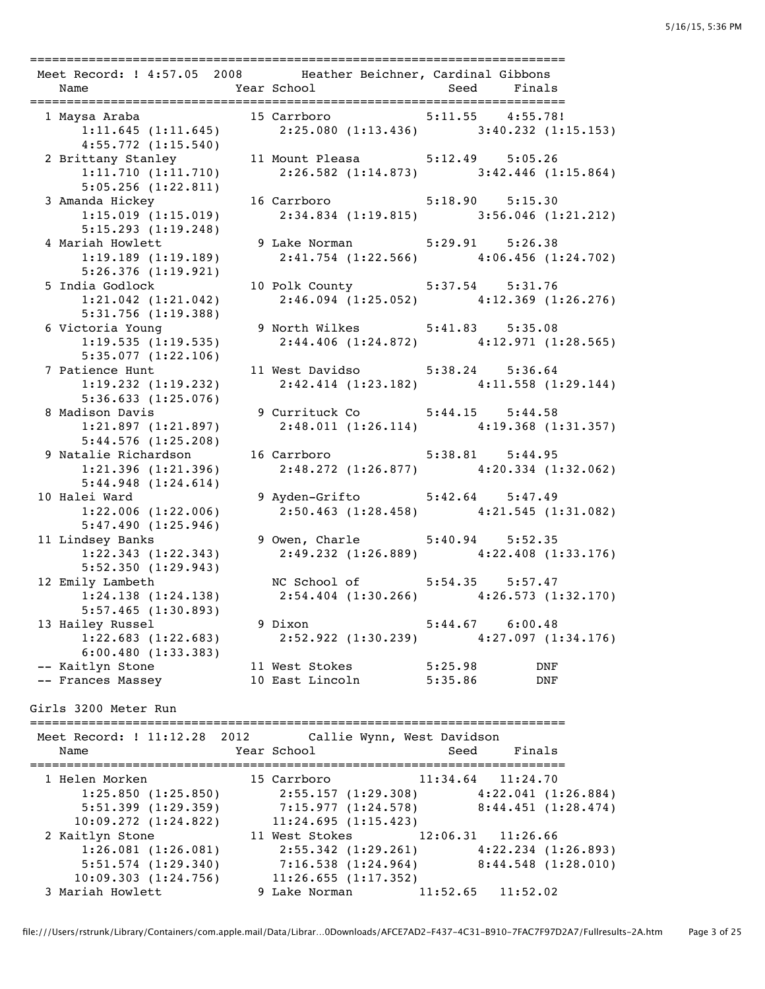| Meet Record: ! 4:57.05 2008 Heather Beichner, Cardinal Gibbons                                        |                                                           |             |  |
|-------------------------------------------------------------------------------------------------------|-----------------------------------------------------------|-------------|--|
|                                                                                                       |                                                           | Seed Finals |  |
| 1 Maysa Araba                                                                                         |                                                           |             |  |
| rsa Araba 15 Carrboro 5:11.55 4:55.78!<br>1:11.645 (1:11.645) 2:25.080 (1:13.436) 3:40.232 (1:15.153) |                                                           |             |  |
| 4:55.772(1:15.540)                                                                                    |                                                           |             |  |
| 2 Brittany Stanley 11 Mount Pleasa 5:12.49 5:05.26                                                    |                                                           |             |  |
| 1:11.710(1:11.710)                                                                                    | $2:26.582$ (1:14.873) 3:42.446 (1:15.864)                 |             |  |
| 5:05.256(1:22.811)                                                                                    |                                                           |             |  |
| 3 Amanda Hickey                                                                                       | 16 Carrboro 5:18.90 5:15.30                               |             |  |
| 1:15.019(1:15.019)                                                                                    | $2:34.834$ (1:19.815) $3:56.046$ (1:21.212)               |             |  |
| 5:15.293(1:19.248)                                                                                    |                                                           |             |  |
| 4 Mariah Howlett                                                                                      | 9 Lake Norman 5:29.91 5:26.38                             |             |  |
| 1:19.189(1:19.189)                                                                                    | 2:41.754 (1:22.566) 4:06.456 (1:24.702)                   |             |  |
| 5:26.376(1:19.921)                                                                                    |                                                           |             |  |
| 5 India Godlock                                                                                       | 10 Polk County 5:37.54 5:31.76                            |             |  |
| $1:21.042$ $(1:21.042)$                                                                               | $2:46.094$ (1:25.052) $4:12.369$ (1:26.276)               |             |  |
| 5:31.756(1:19.388)                                                                                    |                                                           |             |  |
| 6 Victoria Young                                                                                      | 9 North Wilkes 5:41.83 5:35.08                            |             |  |
| 1:19.535(1:19.535)                                                                                    | 2:44.406 (1:24.872) 4:12.971 (1:28.565)                   |             |  |
| 5:35.077(1:22.106)                                                                                    |                                                           |             |  |
| 7 Patience Hunt                                                                                       | 11 West Davidso 5:38.24 5:36.64                           |             |  |
| $1:19.232$ $(1:19.232)$                                                                               | $2:42.414$ (1:23.182) $4:11.558$ (1:29.144)               |             |  |
| 5:36.633(1:25.076)                                                                                    |                                                           |             |  |
| 8 Madison Davis                                                                                       | 9 Currituck Co 5:44.15 5:44.58                            |             |  |
| 1:21.897(1:21.897)                                                                                    | 2:48.011 (1:26.114) 4:19.368 (1:31.357)                   |             |  |
| 5:44.576(1:25.208)                                                                                    |                                                           |             |  |
| 9 Natalie Richardson                                                                                  | 16 Carrboro 5:38.81 5:44.95                               |             |  |
| 1:21.396(1:21.396)                                                                                    | $2:48.272$ (1:26.877) $4:20.334$ (1:32.062)               |             |  |
| 5:44.948(1:24.614)                                                                                    |                                                           |             |  |
| 10 Halei Ward                                                                                         | 9 Ayden-Grifto 5:42.64 5:47.49                            |             |  |
| 1:22.006(1:22.006)                                                                                    | $2:50.463$ (1:28.458) $4:21.545$ (1:31.082)               |             |  |
| 5:47.490(1:25.946)                                                                                    |                                                           |             |  |
| 11 Lindsey Banks                                                                                      | 9 Owen, Charle 5:40.94 5:52.35                            |             |  |
| 1:22.343(1:22.343)                                                                                    | 2:49.232 (1:26.889) 4:22.408 (1:33.176)                   |             |  |
| 5:52.350(1:29.943)                                                                                    |                                                           |             |  |
| 12 Emily Lambeth                                                                                      | NC School of 5:54.35 5:57.47                              |             |  |
| 1:24.138(1:24.138)                                                                                    | $2:54.404$ (1:30.266) $4:26.573$ (1:32.170)               |             |  |
| 5:57.465(1:30.893)                                                                                    | $5:44.67$ $6:00.48$<br>9 Dixon                            |             |  |
| 13 Hailey Russel<br>1:22.683(1:22.683)                                                                |                                                           |             |  |
| 6:00.480(1:33.383)                                                                                    | $2:52.922$ (1:30.239) $4:27.097$ (1:34.176)               |             |  |
|                                                                                                       |                                                           |             |  |
|                                                                                                       |                                                           |             |  |
| -- Kaitlyn Stone<br>-- Frances Massey                                                                 | 11 West Stokes 5:25.98 DNF<br>10 East Lincoln 5:25.98 DNF |             |  |

Girls 3200 Meter Run

=========================================================================

| Meet Record: ! 11:12.28 2012 Callie Wynn, West Davidson |                         |                                           |
|---------------------------------------------------------|-------------------------|-------------------------------------------|
| Name                                                    | Year School             | Seed Finals                               |
|                                                         |                         |                                           |
| 1 Helen Morken                                          | 15 Carrboro             | $11:34.64$ $11:24.70$                     |
| 1:25.850(1:25.850)                                      | 2:55.157 (1:29.308)     | 4:22.041(1:26.884)                        |
| 5:51.399(1:29.359)                                      |                         | $7:15.977$ (1:24.578) 8:44.451 (1:28.474) |
| $10:09.272$ $(1:24.822)$                                | 11:24.695(1:15.423)     |                                           |
| 2 Kaitlyn Stone                                         |                         | 11 West Stokes 12:06.31 11:26.66          |
| 1:26.081(1:26.081)                                      | $2:55.342$ $(1:29.261)$ | $4:22.234$ $(1:26.893)$                   |
| $5:51.574$ $(1:29.340)$                                 | 7:16.538 (1:24.964)     | 8:44.548(1:28.010)                        |
| 10:09.303(1:24.756)                                     | 11:26.655(1:17.352)     |                                           |
| 3 Mariah Howlett                                        |                         | 9 Lake Norman 11:52.65 11:52.02           |

file:///Users/rstrunk/Library/Containers/com.apple.mail/Data/Librar…0Downloads/AFCE7AD2-F437-4C31-B910-7FAC7F97D2A7/Fullresults-2A.htm Page 3 of 25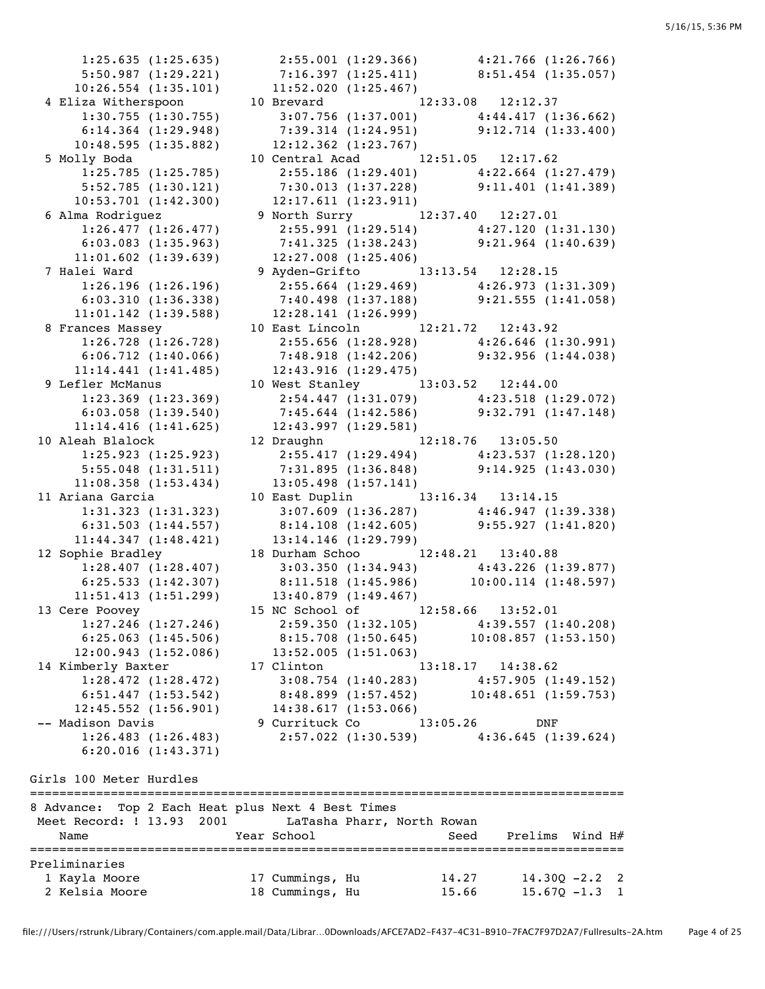1:25.635 (1:25.635) 2:55.001 (1:29.366) 4:21.766 (1:26.766) 5:50.987 (1:29.221) 7:16.397 (1:25.411) 8:51.454 (1:35.057) 10:26.554 (1:35.101) 11:52.020 (1:25.467) 4 Eliza Witherspoon 10 Brevard 12:33.08 12:12.37 1:30.755 (1:30.755) 3:07.756 (1:37.001) 4:44.417 (1:36.662) 6:14.364 (1:29.948) 7:39.314 (1:24.951) 9:12.714 (1:33.400) 10:48.595 (1:35.882) 12:12.362 (1:23.767) 5 Molly Boda 10 Central Acad 12:51.05 12:17.62 1:25.785 (1:25.785) 2:55.186 (1:29.401) 4:22.664 (1:27.479) 5:52.785 (1:30.121) 7:30.013 (1:37.228) 9:11.401 (1:41.389) 10:53.701 (1:42.300) 12:17.611 (1:23.911) 6 Alma Rodriguez 9 North Surry 12:37.40 12:27.01 1:26.477 (1:26.477) 2:55.991 (1:29.514) 4:27.120 (1:31.130) 6:03.083 (1:35.963) 7:41.325 (1:38.243) 9:21.964 (1:40.639) 11:01.602 (1:39.639) 12:27.008 (1:25.406) 7 Halei Ward 9 Ayden-Grifto 13:13.54 12:28.15 1:26.196 (1:26.196) 2:55.664 (1:29.469) 4:26.973 (1:31.309) 6:03.310 (1:36.338) 7:40.498 (1:37.188) 9:21.555 (1:41.058) 11:01.142 (1:39.588) 12:28.141 (1:26.999) 8 Frances Massey 10 East Lincoln 12:21.72 12:43.92 1:26.728 (1:26.728) 2:55.656 (1:28.928) 4:26.646 (1:30.991) 6:06.712 (1:40.066) 7:48.918 (1:42.206) 9:32.956 (1:44.038) 11:14.441 (1:41.485) 12:43.916 (1:29.475) 9 Lefler McManus 10 West Stanley 13:03.52 12:44.00 1:23.369 (1:23.369) 2:54.447 (1:31.079) 4:23.518 (1:29.072) 6:03.058 (1:39.540) 7:45.644 (1:42.586) 9:32.791 (1:47.148) 11:14.416 (1:41.625) 12:43.997 (1:29.581) 10 Aleah Blalock 12 Draughn 12:18.76 13:05.50 1:25.923 (1:25.923) 2:55.417 (1:29.494) 4:23.537 (1:28.120) 5:55.048 (1:31.511) 7:31.895 (1:36.848) 9:14.925 (1:43.030) 11:08.358 (1:53.434) 13:05.498 (1:57.141) 11 Ariana Garcia 10 East Duplin 13:16.34 13:14.15 1:31.323 (1:31.323) 3:07.609 (1:36.287) 4:46.947 (1:39.338) 6:31.503 (1:44.557) 8:14.108 (1:42.605) 9:55.927 (1:41.820) 11:44.347 (1:48.421) 13:14.146 (1:29.799) 12 Sophie Bradley 18 Durham Schoo 12:48.21 13:40.88 1:28.407 (1:28.407) 3:03.350 (1:34.943) 4:43.226 (1:39.877) 6:25.533 (1:42.307) 8:11.518 (1:45.986) 10:00.114 (1:48.597) 11:51.413 (1:51.299) 13:40.879 (1:49.467) 13 Cere Poovey 15 NC School of 12:58.66 13:52.01 1:27.246 (1:27.246) 2:59.350 (1:32.105) 4:39.557 (1:40.208) 6:25.063 (1:45.506) 8:15.708 (1:50.645) 10:08.857 (1:53.150) 12:00.943 (1:52.086) 13:52.005 (1:51.063) 14 Kimberly Baxter 17 Clinton 13:18.17 14:38.62 6:20.016 (1:43.371) Girls 100 Meter Hurdles

 1:28.472 (1:28.472) 3:08.754 (1:40.283) 4:57.905 (1:49.152) 6:51.447 (1:53.542) 8:48.899 (1:57.452) 10:48.651 (1:59.753) 12:45.552 (1:56.901) 14:38.617 (1:53.066) -- Madison Davis 9 Currituck Co 13:05.26 DNF 1:26.483 (1:26.483) 2:57.022 (1:30.539) 4:36.645 (1:39.624) ================================================================================= 8 Advance: Top 2 Each Heat plus Next 4 Best Times Meet Record: ! 13.93 2001 LaTasha Pharr, North Rowan Name Year School Seed Prelims Wind H# ================================================================================= Preliminaries 1 Kayla Moore 17 Cummings, Hu 14.27 14.30Q -2.2 2 2 Kelsia Moore 18 Cummings, Hu 15.66 15.67Q -1.3 1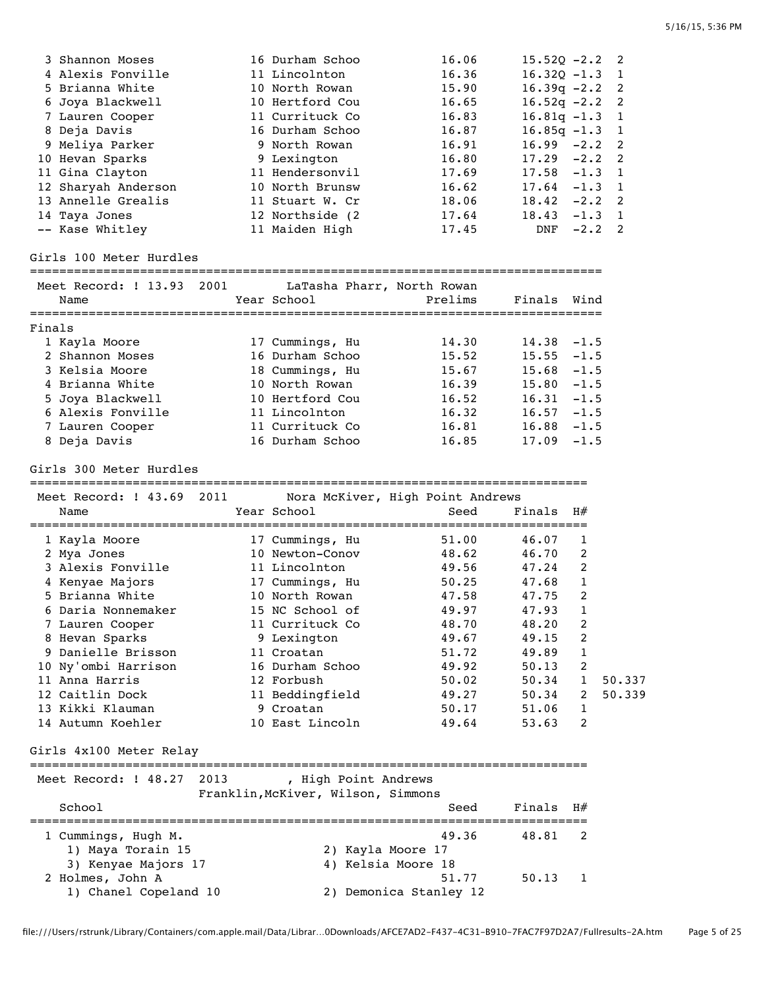| 3 Shannon Moses     | 16 Durham Schoo  | 16.06 | $15.520 -2.2$ 2  |          |  |
|---------------------|------------------|-------|------------------|----------|--|
| 4 Alexis Fonville   | 11 Lincolnton    | 16.36 | $16.320 - 1.3$ 1 |          |  |
| 5 Brianna White     | 10 North Rowan   | 15.90 | $16.39q -2.2$ 2  |          |  |
| 6 Joya Blackwell    | 10 Hertford Cou  | 16.65 | $16.52q -2.2$ 2  |          |  |
| 7 Lauren Cooper     | 11 Currituck Co  | 16.83 | $16.81q - 1.3$ 1 |          |  |
| 8 Deja Davis        | 16 Durham Schoo  | 16.87 | $16.85q - 1.3$ 1 |          |  |
| 9 Meliya Parker     | 9 North Rowan    | 16.91 | $16.99 - 2.2$ 2  |          |  |
| 10 Hevan Sparks     | 9 Lexington      | 16.80 | $17.29 -2.2$ 2   |          |  |
| 11 Gina Clayton     | 11 Hendersonvil  | 17.69 | $17.58 - 1.3 1$  |          |  |
| 12 Sharyah Anderson | 10 North Brunsw  | 16.62 | $17.64 - 1.3$ 1  |          |  |
| 13 Annelle Grealis  | 11 Stuart W. Cr  | 18.06 | $18.42 -2.2$ 2   |          |  |
| 14 Taya Jones       | 12 Northside (2) | 17.64 | 18.43            | $-1.3$ 1 |  |
| -- Kase Whitley     | 11 Maiden High   | 17.45 | DNF              | $-2.2$ 2 |  |

#### Girls 100 Meter Hurdles

### ==============================================================================

| Meet Record: ! 13.93 2001<br>Name | LaTasha Pharr, North Rowan<br>Year School | Prelims | Finals        | Wind   |
|-----------------------------------|-------------------------------------------|---------|---------------|--------|
| Finals                            |                                           |         |               |        |
| 1 Kayla Moore                     | 17 Cummings, Hu                           | 14.30   | $14.38 - 1.5$ |        |
| 2 Shannon Moses                   | 16 Durham Schoo                           | 15.52   | $15.55 - 1.5$ |        |
| 3 Kelsia Moore                    | 18 Cummings, Hu                           | 15.67   | $15.68 - 1.5$ |        |
| 4 Brianna White                   | 10 North Rowan                            | 16.39   | $15.80 - 1.5$ |        |
| 5 Joya Blackwell                  | 10 Hertford Cou                           | 16.52   | 16.31         | $-1.5$ |
| 6 Alexis Fonville                 | 11 Lincolnton                             | 16.32   | 16.57         | $-1.5$ |
| 7 Lauren Cooper                   | 11 Currituck Co                           | 16.81   | 16.88         | $-1.5$ |
| 8 Deja Davis                      | 16 Durham Schoo                           | 16.85   | 17.09         | $-1.5$ |

Girls 300 Meter Hurdles

============================================================================

| Meet Record: ! 43.69 | 2011 |                 | Nora McKiver, High Point Andrews |             |                |        |
|----------------------|------|-----------------|----------------------------------|-------------|----------------|--------|
| Name                 |      | Year School     | Seed                             | $Finals$ H# |                |        |
| 1 Kayla Moore        |      | 17 Cummings, Hu | 51.00                            | 46.07       |                |        |
| 2 Mya Jones          |      | 10 Newton-Conov | 48.62                            | 46.70       | $\mathfrak{D}$ |        |
| 3 Alexis Fonville    |      | 11 Lincolnton   | 49.56                            | 47.24       | 2              |        |
| 4 Kenyae Majors      |      | 17 Cummings, Hu | 50.25                            | 47.68       | 1              |        |
| 5 Brianna White      |      | 10 North Rowan  | 47.58                            | 47.75       | 2              |        |
| 6 Daria Nonnemaker   |      | 15 NC School of | 49.97                            | 47.93       |                |        |
| 7 Lauren Cooper      |      | 11 Currituck Co | 48.70                            | 48.20       | 2              |        |
| 8 Hevan Sparks       |      | 9 Lexington     | 49.67                            | 49.15       | 2              |        |
| 9 Danielle Brisson   |      | 11 Croatan      | 51.72                            | 49.89       |                |        |
| 10 Ny'ombi Harrison  |      | 16 Durham Schoo | 49.92                            | 50.13       | 2              |        |
| 11 Anna Harris       |      | 12 Forbush      | 50.02                            | 50.34       | $\mathbf{1}$   | 50.337 |
| 12 Caitlin Dock      |      | 11 Beddingfield | 49.27                            | 50.34       | $\mathcal{P}$  | 50.339 |
| 13 Kikki Klauman     |      | 9 Croatan       | 50.17                            | 51.06       |                |        |
| 14 Autumn Koehler    |      | 10 East Lincoln | 49.64                            | 53.63       | 2              |        |

Girls 4x100 Meter Relay

#### ============================================================================

| Meet Record: ! 48.27 2013                 | High Point Andrews<br>Franklin, McKiver, Wilson, Simmons |    |
|-------------------------------------------|----------------------------------------------------------|----|
| School                                    | Finals<br>Seed                                           | H# |
| 1 Cummings, Hugh M.                       | 49.36<br>48.81                                           |    |
| 1) Maya Torain 15<br>3) Kenyae Majors 17  | 2) Kayla Moore 17<br>4) Kelsia Moore 18                  |    |
| 2 Holmes, John A<br>1) Chanel Copeland 10 | 51.77<br>50.13<br>2) Demonica Stanley 12                 |    |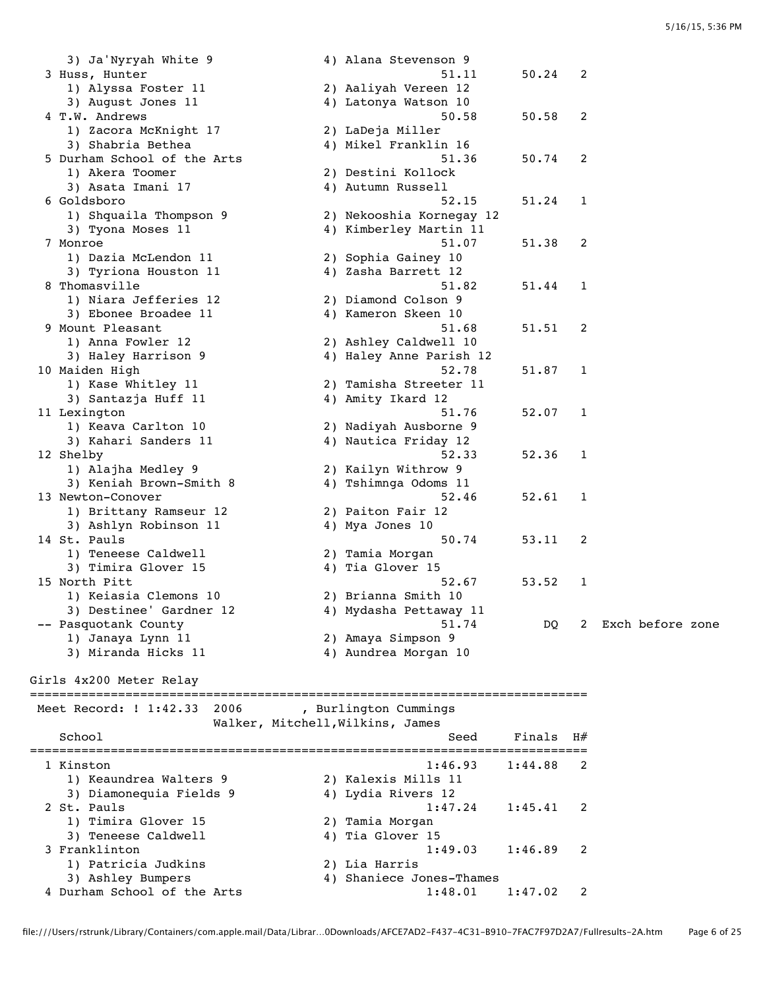3) Ja'Nyryah White 9 4) Alana Stevenson 9 51.11 3 Huss, Hunter 51.11 50.24 2 1) Alyssa Foster 11 2) Aaliyah Vereen 12 3) August Jones 11  $\hskip1cm \hskip1cm 4$ ) Latonya Watson 10 4 T.W. Andrews 50.58 50.58 2 1) Zacora McKnight 17 2) LaDeja Miller 3) Shabria Bethea 4) Mikel Franklin 16 5 Durham School of the Arts 51.36 50.74 2 1) Akera Toomer 2) Destini Kollock 3) Asata Imani 17 1988 - 2010 Martin Aussell and Autumn Russell 6 Goldsboro 52.15 51.24 1 1) Shquaila Thompson 9 2) Nekooshia Kornegay 12 3) Tyona Moses 11 4) Kimberley Martin 11 7 Monroe 51.07 51.38 2 1) Dazia McLendon 11 2) Sophia Gainey 10 3) Tyriona Houston 11 4) Zasha Barrett 12 8 Thomasville 51.82 51.44 1 1) Niara Jefferies 12 2) Diamond Colson 9 3) Ebonee Broadee 11 4) Kameron Skeen 10 9 Mount Pleasant 51.68 51.51 2 1) Anna Fowler 12 2) Ashley Caldwell 10 3) Haley Harrison 9 4) Haley Anne Parish 12 10 Maiden High 52.78 51.87 1 1) Kase Whitley 11 2) Tamisha Streeter 11 3) Santazja Huff 11  $\qquad \qquad \qquad$  4) Amity Ikard 12 11 Lexington 51.76 52.07 1 1) Keava Carlton 10 2) Nadiyah Ausborne 9 3) Kahari Sanders 11 4) Nautica Friday 12 12 Shelby 52.33 52.36 1 1) Alajha Medley 9 2) Kailyn Withrow 9 3) Keniah Brown-Smith 8 4) Tshimnga Odoms 11 13 Newton-Conover 52.46 52.61 1 1) Brittany Ramseur 12 2) Paiton Fair 12 3) Ashlyn Robinson 11  $\hskip10mm$  4) Mya Jones 10 14 St. Pauls 2014 12 St. Pauls 2014 12 St. Pauls 2014 12 St. Pauls 2014 12 1) Teneese Caldwell 2) Tamia Morgan 3) Timira Glover 15 (4) Tia Glover 15 15 North Pitt **15 North Pitt** 52.67 53.52 1 1) Keiasia Clemons 10 2) Brianna Smith 10 3) Destinee' Gardner 12 4) Mydasha Pettaway 11 -- Pasquotank County 51.74 DQ 2 Exch before zone 1) Janaya Lynn 11 2) Amaya Simpson 9 3) Miranda Hicks 11 4) Aundrea Morgan 10 Girls 4x200 Meter Relay ============================================================================ Meet Record: ! 1:42.33 2006 , Burlington Cummings Walker, Mitchell,Wilkins, James School School School Seed Finals H# ============================================================================ 1 Kinston 1:46.93 1:44.88 2 1) Keaundrea Walters 9 2) Kalexis Mills 11 3) Diamonequia Fields 9 4) Lydia Rivers 12 2 St. Pauls 1:47.24 1:45.41 2 1) Timira Glover 15 2) Tamia Morgan 3) Teneese Caldwell 4) Tia Glover 15 3 Franklinton 1:49.03 1:46.89 2 1) Patricia Judkins 2) Lia Harris 3) Ashley Bumpers 4) Shaniece Jones-Thames 4 Durham School of the Arts 1:48.01 1:47.02 2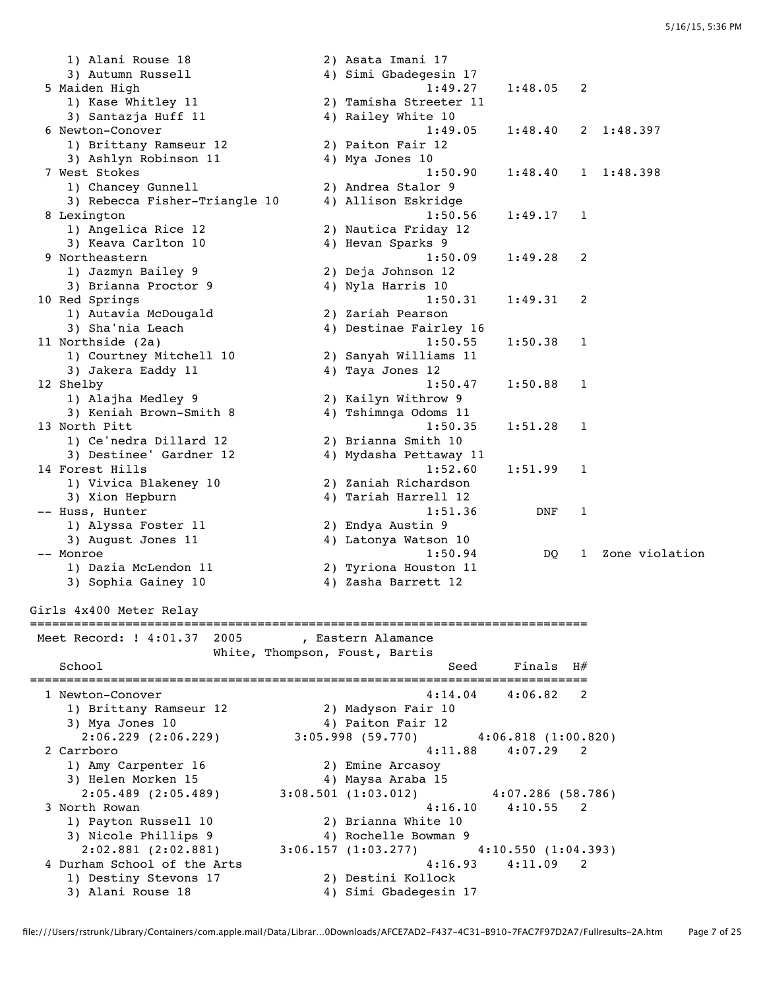1) Alani Rouse 18 2) Asata Imani 17 3) Autumn Russell 4) Simi Gbadegesin 17 5 Maiden High 1:49.27 1:48.05 2 1) Kase Whitley 11 2) Tamisha Streeter 11 3) Santazja Huff 11  $\hskip1cm$  4) Railey White 10 6 Newton-Conover 1:49.05 1:48.40 2 1:48.397<br>1) Brittany Ramseur 12 2) Paiton Fair 12 1) Brittany Ramseur 12 2) Paiton Fair 12 3) Ashlyn Robinson 11  $\hskip10mm$  4) Mya Jones 10 7 West Stokes 1:50.90 1:48.40 1 1:48.398 1) Chancey Gunnell 2) Andrea Stalor 9 3) Rebecca Fisher-Triangle 10 4) Allison Eskridge 8 Lexington 1:50.56 1:49.17 1 1) Angelica Rice 12 2) Nautica Friday 12 3) Keava Carlton 10  $\hskip1cm \hskip1cm 4$ ) Hevan Sparks 9 9 Northeastern 1:50.09 1:49.28 2<br>1) Jazmyn Bailey 9 2) Deja Johnson 12 1) Jazmyn Bailey 9 2) Deja Johnson 12 3) Brianna Proctor 9 4) Nyla Harris 10 10 Red Springs 1:50.31 1:49.31 2 1) Autavia McDougald 2) Zariah Pearson 3) Sha'nia Leach 4) Destinae Fairley 16 11 Northside (2a) 1:50.55 1:50.38 1 1) Courtney Mitchell 10 2) Sanyah Williams 11 3) Jakera Eaddy 11 4) Taya Jones 12 12 Shelby 1:50.47 1:50.88 1 1) Alajha Medley 9 2) Kailyn Withrow 9 3) Keniah Brown-Smith 8 4) Tshimnga Odoms 11 13 North Pitt 1:50.35 1:51.28 1 1) Ce'nedra Dillard 12 2) Brianna Smith 10 3) Destinee' Gardner 12 4) Mydasha Pettaway 11 14 Forest Hills 1:52.60 1:51.99 1 1) Vivica Blakeney 10 2) Zaniah Richardson 3) Xion Hepburn 4) Tariah Harrell 12 -- Huss, Hunter 1:51.36 DNF 1 1) Alyssa Foster 11 2) Endya Austin 9 3) August Jones 11 4) Latonya Watson 10 -- Monroe 2008 1:50.94 DQ 1 Zone violation 1) Dazia McLendon 11 2) Tyriona Houston 11 3) Sophia Gainey 10 12 4) Zasha Barrett 12 Girls 4x400 Meter Relay ============================================================================ Meet Record: ! 4:01.37 2005 , Eastern Alamance White, Thompson, Foust, Bartis School School School Seed Finals H# ============================================================================ 1 Newton-Conover 4:14.04 4:06.82 2 1) Brittany Ramseur 12 2) Madyson Fair 10 3) Mya Jones 10  $4$ ) Paiton Fair 12 2:06.229 (2:06.229) 3:05.998 (59.770) 4:06.818 (1:00.820) 2 Carrboro 4:11.88 4:07.29 2 1) Amy Carpenter 16 2) Emine Arcasoy 3) Helen Morken 15 4) Maysa Araba 15 2:05.489 (2:05.489) 3:08.501 (1:03.012) 4:07.286 (58.786) 3 North Rowan 4:16.10 4:10.55 2 1) Payton Russell 10 2) Brianna White 10 3) Nicole Phillips 9 4) Rochelle Bowman 9 2:02.881 (2:02.881) 3:06.157 (1:03.277) 4:10.550 (1:04.393) 4 Durham School of the Arts 4:16.93 4:11.09 2 1) Destiny Stevons 17 2) Destini Kollock 3) Alani Rouse 18 4) Simi Gbadegesin 17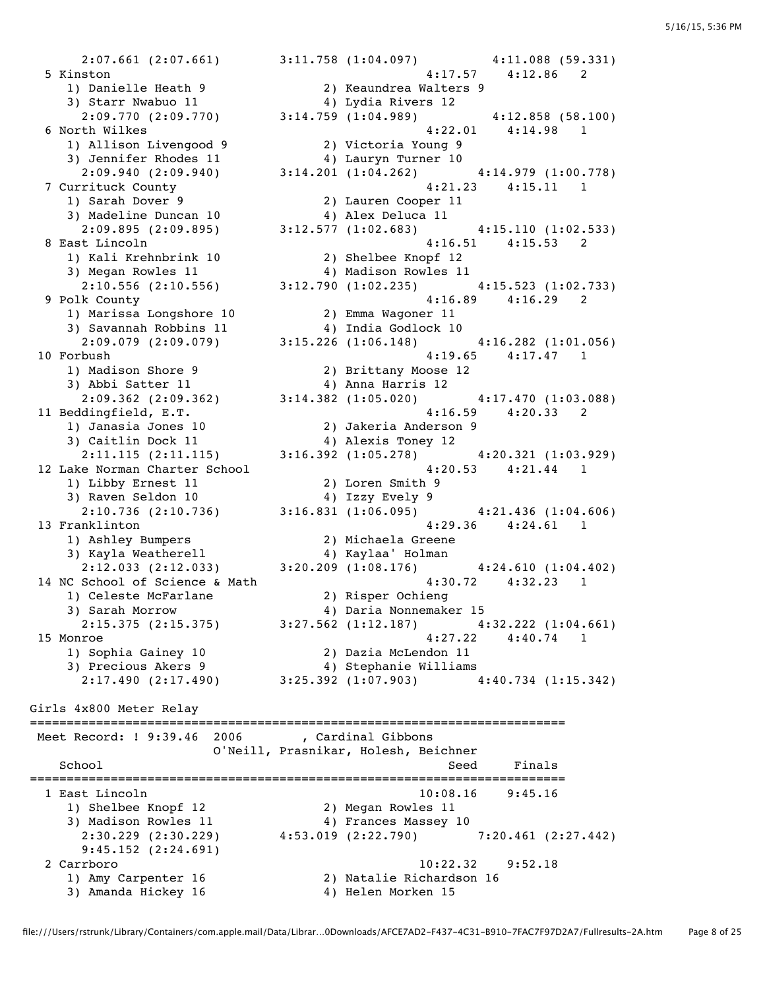2:07.661 (2:07.661) 3:11.758 (1:04.097) 4:11.088 (59.331) 5 Kinston 4:17.57 4:12.86 2 1) Danielle Heath 9 2) Keaundrea Walters 9 3) Starr Nwabuo 11 <a>>4) Lydia Rivers 12 2:09.770 (2:09.770) 3:14.759 (1:04.989) 4:12.858 (58.100) 6 North Wilkes 4:22.01 4:14.98 1 1) Allison Livengood 9 2) Victoria Young 9 3) Jennifer Rhodes 11 4) Lauryn Turner 10 2:09.940 (2:09.940) 3:14.201 (1:04.262) 4:14.979 (1:00.778) 7 Currituck County 4:21.23 4:15.11 1 1) Sarah Dover 9 2) Lauren Cooper 11 3) Madeline Duncan 10  $\hphantom{\ddots}$  4) Alex Deluca 11 2:09.895 (2:09.895) 3:12.577 (1:02.683) 4:15.110 (1:02.533) 8 East Lincoln 4:16.51 4:15.53 2 1) Kali Krehnbrink 10 2) Shelbee Knopf 12 3) Megan Rowles 11 4) Madison Rowles 11 2:10.556 (2:10.556) 3:12.790 (1:02.235) 4:15.523 (1:02.733) 9 Polk County 4:16.89 4:16.29 2 1) Marissa Longshore 10 2) Emma Wagoner 11 3) Savannah Robbins 11 4) India Godlock 10 2:09.079 (2:09.079) 3:15.226 (1:06.148) 4:16.282 (1:01.056) 10 Forbush 4:19.65 4:17.47 1 1) Madison Shore 9 2) Brittany Moose 12 3) Abbi Satter 11 4) Anna Harris 12 2:09.362 (2:09.362) 3:14.382 (1:05.020) 4:17.470 (1:03.088) 11 Beddingfield, E.T. 4:16.59 4:20.33 2 1) Janasia Jones 10 2) Jakeria Anderson 9 3) Caitlin Dock 11 4) Alexis Toney 12 2:11.115 (2:11.115) 3:16.392 (1:05.278) 4:20.321 (1:03.929) 12 Lake Norman Charter School 4:20.53 4:21.44 1 1) Libby Ernest 11 2) Loren Smith 9 3) Raven Seldon 10 4) Izzy Evely 9 2:10.736 (2:10.736) 3:16.831 (1:06.095) 4:21.436 (1:04.606) 13 Franklinton 4:29.36 4:24.61 1 1) Ashley Bumpers 2) Michaela Greene 3) Kayla Weatherell 4) Kaylaa' Holman 2:12.033 (2:12.033) 3:20.209 (1:08.176) 4:24.610 (1:04.402) 14 NC School of Science & Math 4:30.72 4:32.23 1 1) Celeste McFarlane 2) Risper Ochieng 3) Sarah Morrow 4) Daria Nonnemaker 15 2:15.375 (2:15.375) 3:27.562 (1:12.187) 4:32.222 (1:04.661) 15 Monroe 4:27.22 4:40.74 1 1) Sophia Gainey 10 2) Dazia McLendon 11 3) Precious Akers 9 4) Stephanie Williams 2:17.490 (2:17.490) 3:25.392 (1:07.903) 4:40.734 (1:15.342) Girls 4x800 Meter Relay ========================================================================= Meet Record: ! 9:39.46 2006 , Cardinal Gibbons O'Neill, Prasnikar, Holesh, Beichner School Seed Finals ========================================================================= 1 East Lincoln 10:08.16 9:45.16 1) Shelbee Knopf 12 2) Megan Rowles 11 3) Madison Rowles 11  $\hskip1cm \hskip1cm 4$ ) Frances Massey 10 2:30.229 (2:30.229) 4:53.019 (2:22.790) 7:20.461 (2:27.442) 9:45.152 (2:24.691) 2 Carrboro 10:22.32 9:52.18 1) Amy Carpenter 16 2) Natalie Richardson 16

3) Amanda Hickey 16 4) Helen Morken 15

file:///Users/rstrunk/Library/Containers/com.apple.mail/Data/Librar…0Downloads/AFCE7AD2-F437-4C31-B910-7FAC7F97D2A7/Fullresults-2A.htm Page 8 of 25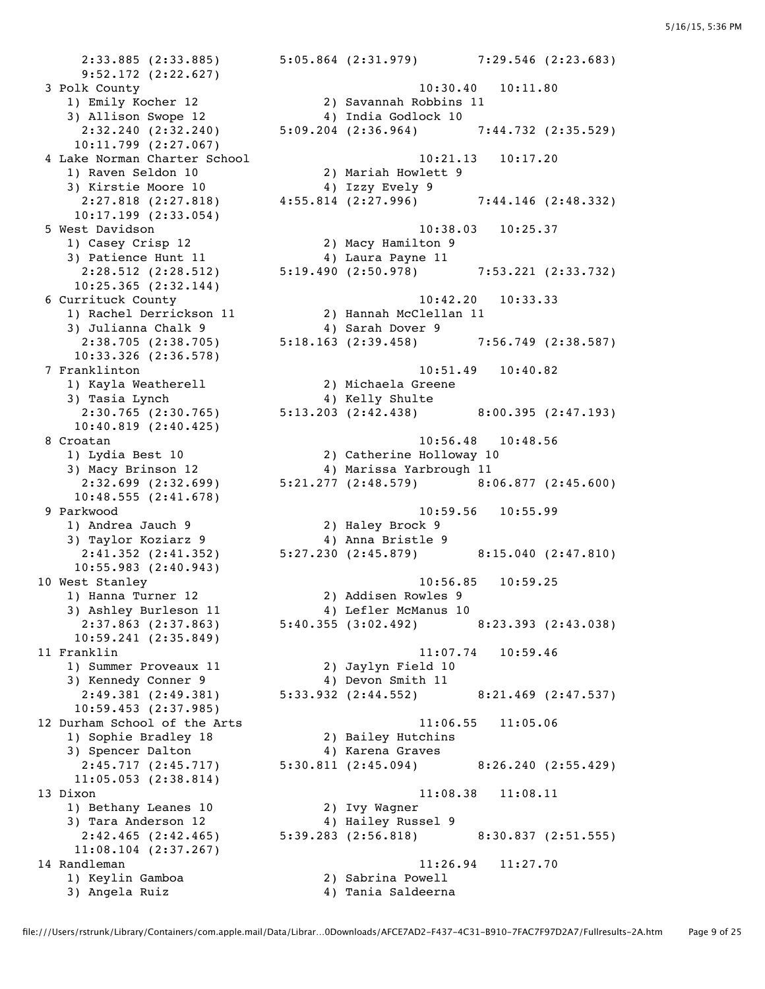9:52.172 (2:22.627) 3) Allison Swope 12 4) India Godlock 10 10:11.799 (2:27.067) 1) Raven Seldon 10 2) Mariah Howlett 9 3) Kirstie Moore 10 4) Izzy Evely 9 10:17.199 (2:33.054) 1) Casey Crisp 12 2) Macy Hamilton 9 3) Patience Hunt 11 (4) Laura Payne 11 10:25.365 (2:32.144) 3) Julianna Chalk 9 4) Sarah Dover 9 10:33.326 (2:36.578) 1) Kayla Weatherell 2) Michaela Greene 3) Tasia Lynch 1988 (4) Kelly Shulte 10:40.819 (2:40.425) 10:48.555 (2:41.678) 1) Andrea Jauch 9 2) Haley Brock 9 3) Taylor Koziarz 9 4) Anna Bristle 9 10:55.983 (2:40.943) 1) Hanna Turner 12 2) Addisen Rowles 9 3) Ashley Burleson 11 4) Lefler McManus 10 10:59.241 (2:35.849) 1) Summer Proveaux 11 2) Jaylyn Field 10 3) Kennedy Conner 9 19 10 4) Devon Smith 11 10:59.453 (2:37.985) 1) Sophie Bradley 18 2) Bailey Hutchins 3) Spencer Dalton 4) Karena Graves 11:05.053 (2:38.814) 1) Bethany Leanes 10 2) Ivy Wagner 3) Tara Anderson 12 4) Hailey Russel 9 11:08.104 (2:37.267) 1) Keylin Gamboa 2) Sabrina Powell

 2:33.885 (2:33.885) 5:05.864 (2:31.979) 7:29.546 (2:23.683) 3 Polk County 10:30.40 10:11.80 1) Emily Kocher 12 2) Savannah Robbins 11 2:32.240 (2:32.240) 5:09.204 (2:36.964) 7:44.732 (2:35.529) 4 Lake Norman Charter School 10:21.13 10:17.20 2:27.818 (2:27.818) 4:55.814 (2:27.996) 7:44.146 (2:48.332) 5 West Davidson 10:38.03 10:25.37 2:28.512 (2:28.512) 5:19.490 (2:50.978) 7:53.221 (2:33.732) 6 Currituck County 10:42.20 10:33.33 1) Rachel Derrickson 11 2) Hannah McClellan 11 2:38.705 (2:38.705) 5:18.163 (2:39.458) 7:56.749 (2:38.587) 7 Franklinton 10:51.49 10:40.82 2:30.765 (2:30.765) 5:13.203 (2:42.438) 8:00.395 (2:47.193) 8 Croatan 10:56.48 10:48.56 1) Lydia Best 10 2) Catherine Holloway 10 3) Macy Brinson 12 4) Marissa Yarbrough 11 2:32.699 (2:32.699) 5:21.277 (2:48.579) 8:06.877 (2:45.600) 9 Parkwood 10:59.56 10:55.99 2:41.352 (2:41.352) 5:27.230 (2:45.879) 8:15.040 (2:47.810) 10 West Stanley 10:56.85 10:59.25 2:37.863 (2:37.863) 5:40.355 (3:02.492) 8:23.393 (2:43.038) 11 Franklin 11:07.74 10:59.46 2:49.381 (2:49.381) 5:33.932 (2:44.552) 8:21.469 (2:47.537) 12 Durham School of the Arts 11:06.55 11:05.06 2:45.717 (2:45.717) 5:30.811 (2:45.094) 8:26.240 (2:55.429) 13 Dixon 11:08.38 11:08.11 2:42.465 (2:42.465) 5:39.283 (2:56.818) 8:30.837 (2:51.555) 14 Randleman 11:26.94 11:27.70 3) Angela Ruiz 1983 (2008) 4) Tania Saldeerna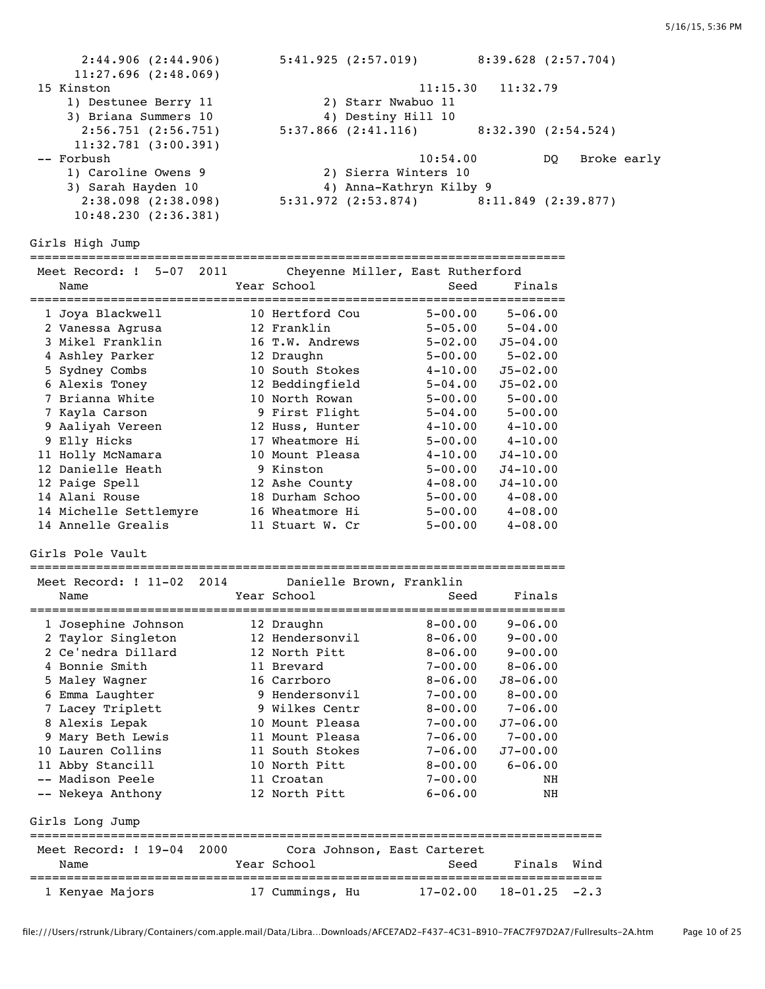2:44.906 (2:44.906) 5:41.925 (2:57.019) 8:39.628 (2:57.704) 11:27.696 (2:48.069) 15 Kinston 11:15.30 11:32.79 1) Destunee Berry 11 2) Starr Nwabuo 11 3) Briana Summers 10 (4) Destiny Hill 10 2:56.751 (2:56.751) 5:37.866 (2:41.116) 8:32.390 (2:54.524) 11:32.781 (3:00.391) -- Forbush 10:54.00 DQ Broke early 1) Caroline Owens 9 2) Sierra Winters 10 3) Sarah Hayden 10 4) Anna-Kathryn Kilby 9 2:38.098 (2:38.098) 5:31.972 (2:53.874) 8:11.849 (2:39.877) 10:48.230 (2:36.381) Girls High Jump ========================================================================= Meet Record: ! 5-07 2011 Cheyenne Miller, East Rutherford Name Year School Seed Finals ========================================================================= 1 Joya Blackwell 10 Hertford Cou 5-00.00 5-06.00 2 Vanessa Agrusa 12 Franklin 5-05.00 5-04.00 3 Mikel Franklin 16 T.W. Andrews 5-02.00 J5-04.00 4 Ashley Parker 12 Draughn 5-00.00 5-02.00 5 Sydney Combs 10 South Stokes 4-10.00 J5-02.00 6 Alexis Toney 12 Beddingfield 5-04.00 J5-02.00 7 Brianna White 10 North Rowan 5-00.00 5-00.00 7 Kayla Carson 9 First Flight 5-04.00 5-00.00 9 Aaliyah Vereen 12 Huss, Hunter 4-10.00 4-10.00 9 Elly Hicks 17 Wheatmore Hi 5-00.00 4-10.00 11 Holly McNamara 10 Mount Pleasa 4-10.00 J4-10.00 12 Danielle Heath 9 Kinston 5-00.00 J4-10.00 12 Paige Spell 12 Ashe County 4-08.00 J4-10.00 14 Alani Rouse 18 Durham Schoo 5-00.00 4-08.00 14 Michelle Settlemyre 16 Wheatmore Hi 5-00.00 4-08.00 14 Annelle Grealis 11 Stuart W. Cr 5-00.00 4-08.00 Girls Pole Vault ========================================================================= Meet Record: ! 11-02 2014 Danielle Brown, Franklin Name The Year School Seed Finals ========================================================================= 1 Josephine Johnson 12 Draughn 8-00.00 9-06.00 2 Taylor Singleton 12 Hendersonvil 8-06.00 9-00.00 2 Ce'nedra Dillard 12 North Pitt 8-06.00 9-00.00 4 Bonnie Smith 11 Brevard 7-00.00 8-06.00 5 Maley Wagner 16 Carrboro 8-06.00 J8-06.00 6 Emma Laughter 9 Hendersonvil 7-00.00 8-00.00 7 Lacey Triplett 9 Wilkes Centr 8-00.00 7-06.00 8 Alexis Lepak 10 Mount Pleasa 7-00.00 J7-06.00 9 Mary Beth Lewis 11 Mount Pleasa 7-06.00 7-00.00 10 Lauren Collins 11 South Stokes 7-06.00 J7-00.00 11 Abby Stancill 10 North Pitt 8-00.00 6-06.00 -- Madison Peele 11 Croatan 7-00.00 NH -- Nekeya Anthony 12 North Pitt 6-06.00 NH Girls Long Jump ============================================================================== Meet Record: ! 19-04 2000 Cora Johnson, East Carteret Name The Sear School Seed Finals Wind ============================================================================== 1 Kenyae Majors 17 Cummings, Hu 17-02.00 18-01.25 -2.3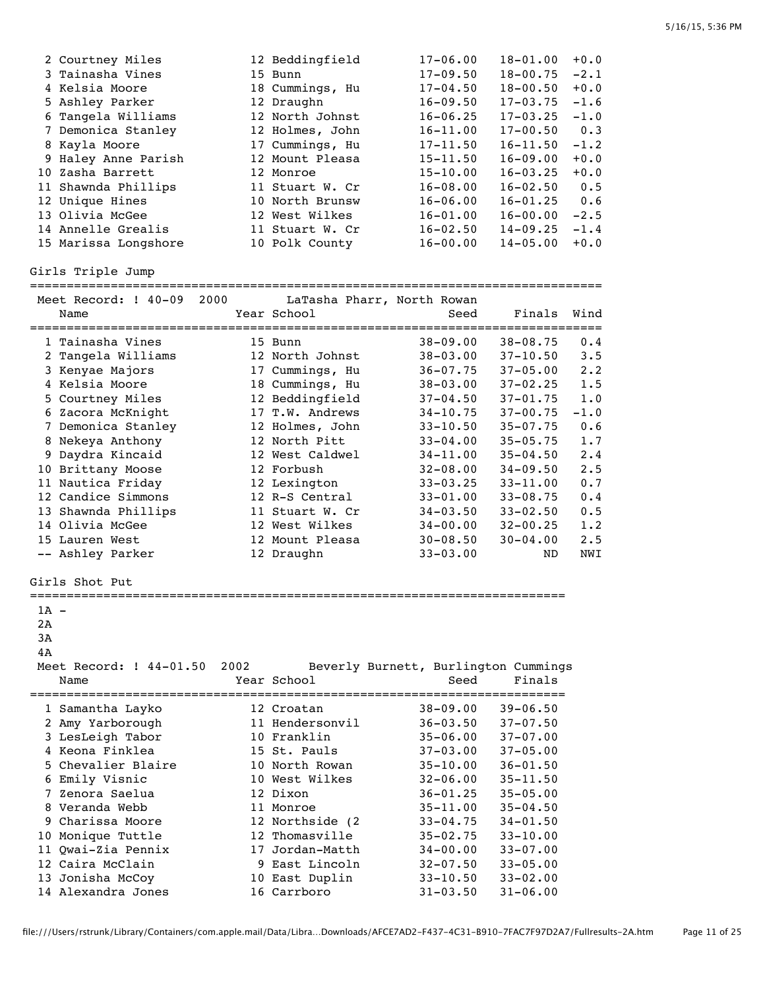| 2 Courtney Miles     | 12 Beddingfield | $17 - 06.00$ | $18 - 01.00$ | $+0.0$ |
|----------------------|-----------------|--------------|--------------|--------|
| 3 Tainasha Vines     | 15 Bunn         | $17 - 09.50$ | $18 - 00.75$ | $-2.1$ |
| 4 Kelsia Moore       | 18 Cummings, Hu | $17 - 04.50$ | $18 - 00.50$ | $+0.0$ |
| 5 Ashley Parker      | 12 Draughn      | $16 - 09.50$ | $17 - 03.75$ | $-1.6$ |
| 6 Tangela Williams   | 12 North Johnst | $16 - 06.25$ | $17 - 03.25$ | $-1.0$ |
| 7 Demonica Stanley   | 12 Holmes, John | $16 - 11.00$ | $17 - 00.50$ | 0.3    |
| 8 Kayla Moore        | 17 Cummings, Hu | $17 - 11.50$ | $16 - 11.50$ | $-1.2$ |
| 9 Haley Anne Parish  | 12 Mount Pleasa | $15 - 11.50$ | $16 - 09.00$ | $+0.0$ |
| 10 Zasha Barrett     | 12 Monroe       | $15 - 10.00$ | $16 - 03.25$ | $+0.0$ |
| 11 Shawnda Phillips  | 11 Stuart W. Cr | $16 - 08.00$ | $16 - 02.50$ | 0.5    |
| 12 Unique Hines      | 10 North Brunsw | $16 - 06.00$ | $16 - 01.25$ | 0.6    |
| 13 Olivia McGee      | 12 West Wilkes  | $16 - 01.00$ | $16 - 00.00$ | $-2.5$ |
| 14 Annelle Grealis   | 11 Stuart W. Cr | $16 - 02.50$ | $14 - 09.25$ | $-1.4$ |
| 15 Marissa Longshore | 10 Polk County  | $16 - 00.00$ | $14 - 05.00$ | $+0.0$ |

Girls Triple Jump

|                  | Meet Record: ! 40-09<br>Name          | 2000 | LaTasha Pharr, North Rowan<br>Year School | Seed                                         | Finals                       | Wind        |
|------------------|---------------------------------------|------|-------------------------------------------|----------------------------------------------|------------------------------|-------------|
|                  | 1 Tainasha Vines                      |      | 15 Bunn                                   | $38 - 09.00$                                 | $38 - 08.75$                 | 0.4         |
|                  | 2 Tangela Williams                    |      | 12 North Johnst                           | $38 - 03.00$                                 | $37 - 10.50$                 | 3.5         |
|                  | 3 Kenyae Majors                       |      | 17 Cummings, Hu                           | $36 - 07.75$                                 | 37-05.00                     | $2 \cdot 2$ |
|                  | 4 Kelsia Moore                        |      | 18 Cummings, Hu                           | $38 - 03.00$                                 | $37 - 02.25$                 | 1.5         |
|                  | 5 Courtney Miles                      |      | 12 Beddingfield                           | $37 - 04.50$                                 | $37 - 01.75$                 | 1.0         |
|                  | 6 Zacora McKnight                     |      | 17 T.W. Andrews                           | $34 - 10.75$                                 | $37 - 00.75$                 | $-1.0$      |
|                  | 7 Demonica Stanley                    |      | 12 Holmes, John                           | $33 - 10.50$                                 | $35 - 07.75$                 | 0.6         |
|                  | 8 Nekeya Anthony                      |      | 12 North Pitt                             | $33 - 04.00$                                 | $35 - 05.75$                 | 1.7         |
|                  | 9 Daydra Kincaid                      |      | 12 West Caldwel                           | $34 - 11.00$                                 | $35 - 04.50$                 | 2.4         |
|                  | 10 Brittany Moose                     |      | 12 Forbush                                | $32 - 08.00$                                 | $34 - 09.50$                 | 2.5         |
|                  | 11 Nautica Friday                     |      | 12 Lexington                              | $33 - 03.25$                                 | $33 - 11.00$                 | 0.7         |
|                  | 12 Candice Simmons                    |      | 12 R-S Central                            | $33 - 01.00$                                 | $33 - 08.75$                 | 0.4         |
|                  | 13 Shawnda Phillips                   |      | 11 Stuart W. Cr                           | $34 - 03.50$                                 | $33 - 02.50$                 | 0.5         |
|                  | 14 Olivia McGee                       |      | 12 West Wilkes                            | $34 - 00.00$                                 | $32 - 00.25$                 | 1.2         |
|                  | 15 Lauren West                        |      | 12 Mount Pleasa                           | $30 - 08.50$                                 | 30-04.00                     | 2.5         |
|                  | -- Ashley Parker                      |      | 12 Draughn                                | $33 - 03.00$                                 | ND                           | NWI         |
|                  | Girls Shot Put                        |      |                                           |                                              |                              |             |
| 1A -<br>2A<br>3A |                                       |      |                                           |                                              |                              |             |
| 4A               |                                       |      |                                           |                                              |                              |             |
|                  | Meet Record: ! 44-01.50<br>Name       | 2002 | Year School                               | Beverly Burnett, Burlington Cummings<br>Seed | Finals                       |             |
|                  |                                       |      |                                           |                                              |                              |             |
|                  | 1 Samantha Layko                      |      | 12 Croatan                                | $38 - 09.00$                                 | $39 - 06.50$                 |             |
|                  | 2 Amy Yarborough                      |      | 11 Hendersonvil                           | $36 - 03.50$                                 | $37 - 07.50$                 |             |
|                  | 3 LesLeigh Tabor                      |      | 10 Franklin                               | $35 - 06.00$                                 | $37 - 07.00$                 |             |
|                  | 4 Keona Finklea<br>5 Chevalier Blaire |      | 15 St. Pauls<br>10 North Rowan            | $37 - 03.00$                                 | $37 - 05.00$                 |             |
|                  |                                       |      | 10 West Wilkes                            | $35 - 10.00$<br>$32 - 06.00$                 | $36 - 01.50$<br>$35 - 11.50$ |             |
|                  | 6 Emily Visnic<br>7 Zenora Saelua     |      | 12 Dixon                                  | $36 - 01.25$                                 | $35 - 05.00$                 |             |
|                  | 8 Veranda Webb                        |      | 11 Monroe                                 | $35 - 11.00$                                 | $35 - 04.50$                 |             |
|                  | 9 Charissa Moore                      |      | 12 Northside (2                           | $33 - 04.75$                                 | $34 - 01.50$                 |             |
|                  | 10 Monique Tuttle                     |      | 12 Thomasville                            | $35 - 02.75$                                 | $33 - 10.00$                 |             |
|                  | 11 Owai-Zia Pennix                    |      | 17 Jordan-Matth                           | $34 - 00.00$                                 | $33 - 07.00$                 |             |
|                  | 12 Caira McClain                      |      | 9 East Lincoln                            | $32 - 07.50$                                 | $33 - 05.00$                 |             |
|                  | 13 Jonisha McCoy                      |      | 10 East Duplin                            | $33 - 10.50$                                 | $33 - 02.00$                 |             |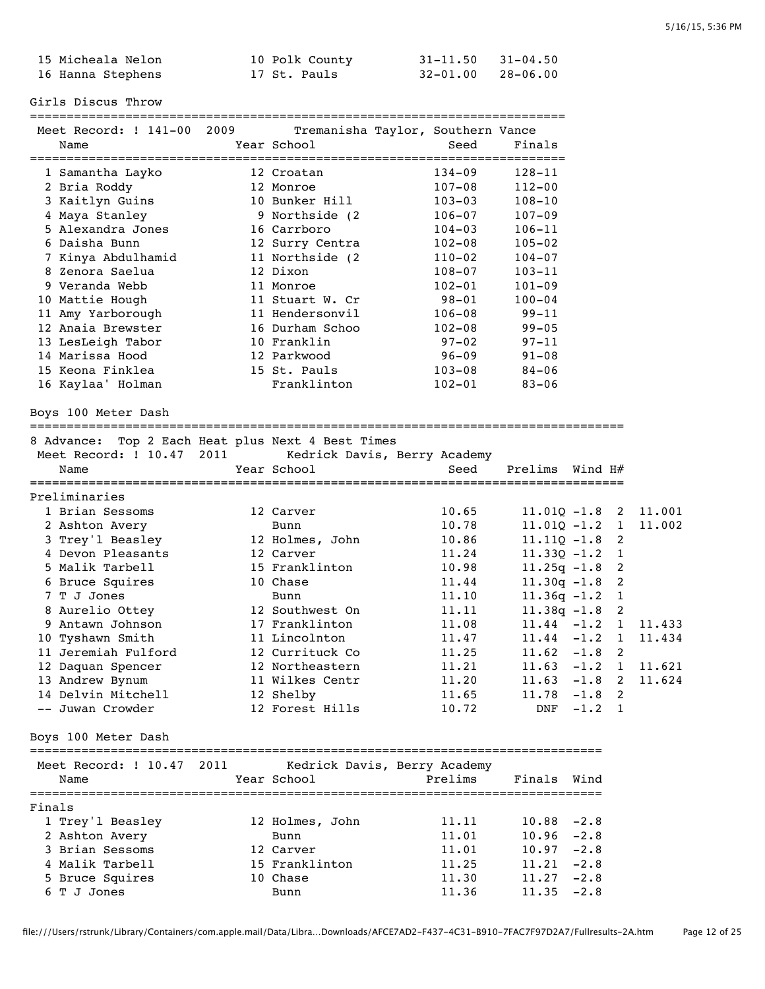| 15 Micheala Nelon | 10 Polk County | $31 - 11.50$ $31 - 04.50$ |  |
|-------------------|----------------|---------------------------|--|
| 16 Hanna Stephens | 17 St. Pauls   | $32 - 01.00$ $28 - 06.00$ |  |

Girls Discus Throw

========================================================================= Tremanisha Taylor, Southern Vance

| Name                                              |      | Year School      | Seed                         | Finals         |          |              |        |
|---------------------------------------------------|------|------------------|------------------------------|----------------|----------|--------------|--------|
|                                                   |      |                  | ===========<br>==========    | =======        |          |              |        |
| 1 Samantha Layko                                  |      | 12 Croatan       | $134 - 09$                   | $128 - 11$     |          |              |        |
| 2 Bria Roddy                                      |      | 12 Monroe        | $107 - 08$                   | $112 - 00$     |          |              |        |
| 3 Kaitlyn Guins                                   |      | 10 Bunker Hill   | $103 - 03$                   | 108-10         |          |              |        |
| 4 Maya Stanley                                    |      | 9 Northside (2   | $106 - 07$                   | $107 - 09$     |          |              |        |
| 5 Alexandra Jones                                 |      | 16 Carrboro      | $104 - 03$                   | $106 - 11$     |          |              |        |
| 6 Daisha Bunn                                     |      | 12 Surry Centra  | $102 - 08$                   | $105 - 02$     |          |              |        |
| 7 Kinya Abdulhamid                                |      | 11 Northside (2) | $110 - 02$                   | $104 - 07$     |          |              |        |
| 8 Zenora Saelua                                   |      | 12 Dixon         | $108 - 07$                   | $103 - 11$     |          |              |        |
| 9 Veranda Webb                                    |      | 11 Monroe        | $102 - 01$                   | $101 - 09$     |          |              |        |
| 10 Mattie Hough                                   |      | 11 Stuart W. Cr  | 98-01                        | $100 - 04$     |          |              |        |
| 11 Amy Yarborough                                 |      | 11 Hendersonvil  | $106 - 08$                   | $99 - 11$      |          |              |        |
| 12 Anaia Brewster                                 |      | 16 Durham Schoo  | $102 - 08$                   | $99 - 05$      |          |              |        |
| 13 LesLeigh Tabor                                 |      | 10 Franklin      | $97 - 02$                    | $97 - 11$      |          |              |        |
| 14 Marissa Hood                                   |      | 12 Parkwood      | $96 - 09$                    | $91 - 08$      |          |              |        |
| 15 Keona Finklea                                  |      | 15 St. Pauls     | $103 - 08$                   | $84 - 06$      |          |              |        |
| 16 Kaylaa' Holman                                 |      | Franklinton      | $102 - 01$                   | $83 - 06$      |          |              |        |
|                                                   |      |                  |                              |                |          |              |        |
| Boys 100 Meter Dash                               |      |                  |                              |                |          |              |        |
| 8 Advance: Top 2 Each Heat plus Next 4 Best Times |      |                  |                              |                |          |              |        |
| Meet Record: ! 10.47                              | 2011 |                  | Kedrick Davis, Berry Academy |                |          |              |        |
| Name                                              |      | Year School      | Seed                         | Prelims        | Wind H#  |              |        |
|                                                   |      |                  |                              |                |          |              |        |
| Preliminaries                                     |      |                  |                              |                |          |              |        |
| 1 Brian Sessoms                                   |      | 12 Carver        | 10.65                        | $11.01Q - 1.8$ |          | 2            | 11.001 |
| 2 Ashton Avery                                    |      | Bunn             | 10.78                        | $11.01Q - 1.2$ |          | $\mathbf{1}$ | 11.002 |
| 3 Trey'l Beasley                                  |      | 12 Holmes, John  | 10.86                        | $11.11Q - 1.8$ |          | 2            |        |
| 4 Devon Pleasants                                 |      | 12 Carver        | 11.24                        | $11.33Q - 1.2$ |          | 1            |        |
| 5 Malik Tarbell                                   |      | 15 Franklinton   | 10.98                        | $11.25q - 1.8$ |          | 2            |        |
| 6 Bruce Squires                                   |      | 10 Chase         | 11.44                        | $11.30q - 1.8$ |          | 2            |        |
| 7 T J Jones                                       |      | Bunn             | 11.10                        | $11.36q - 1.2$ |          | 1            |        |
| 8 Aurelio Ottey                                   |      | 12 Southwest On  | 11.11                        | $11.38q - 1.8$ |          | 2            |        |
| 9 Antawn Johnson                                  |      | 17 Franklinton   | 11.08                        | $11.44 - 1.2$  |          | $\mathbf{1}$ | 11.433 |
| 10 Tyshawn Smith                                  |      | 11 Lincolnton    | 11.47                        | $11.44 - 1.2$  |          | $\mathbf{1}$ | 11.434 |
| 11 Jeremiah Fulford                               |      | 12 Currituck Co  | 11.25                        | 11.62          | $-1.8$   | 2            |        |
| 12 Daquan Spencer                                 |      | 12 Northeastern  | 11.21                        | 11.63          | $-1.2$   | $\mathbf{1}$ | 11.621 |
| 13 Andrew Bynum                                   |      | 11 Wilkes Centr  | 11.20                        | 11.63          | $-1.8$   | 2            | 11.624 |
| 14 Delvin Mitchell                                |      | 12 Shelby        | 11.65                        | $11.78 - 1.8$  |          | 2            |        |
| -- Juwan Crowder                                  |      | 12 Forest Hills  | 10.72                        | DNF            | $-1.2$ 1 |              |        |
|                                                   |      |                  |                              |                |          |              |        |
| Boys 100 Meter Dash                               |      |                  |                              |                |          |              |        |
| Meet Record: ! 10.47                              | 2011 |                  | Kedrick Davis, Berry Academy |                |          |              |        |
| Name                                              |      | Year School      | Prelims                      | Finals         | Wind     |              |        |
|                                                   |      |                  |                              |                |          |              |        |
| Finals                                            |      |                  |                              |                |          |              |        |
| 1 Trey'l Beasley                                  |      | 12 Holmes, John  | 11.11                        | 10.88          | $-2.8$   |              |        |
| 2 Ashton Avery                                    |      | Bunn             | 11.01                        | 10.96          | $-2.8$   |              |        |
| 3 Brian Sessoms                                   |      | 12 Carver        | 11.01                        | 10.97          | $-2.8$   |              |        |
| 4 Malik Tarbell                                   |      | 15 Franklinton   | 11.25                        | 11.21          | $-2.8$   |              |        |
| 5 Bruce Squires                                   |      | 10 Chase         | 11.30                        | 11.27          | $-2.8$   |              |        |
| 6 T J Jones                                       |      | Bunn             | 11.36                        | 11.35          | $-2.8$   |              |        |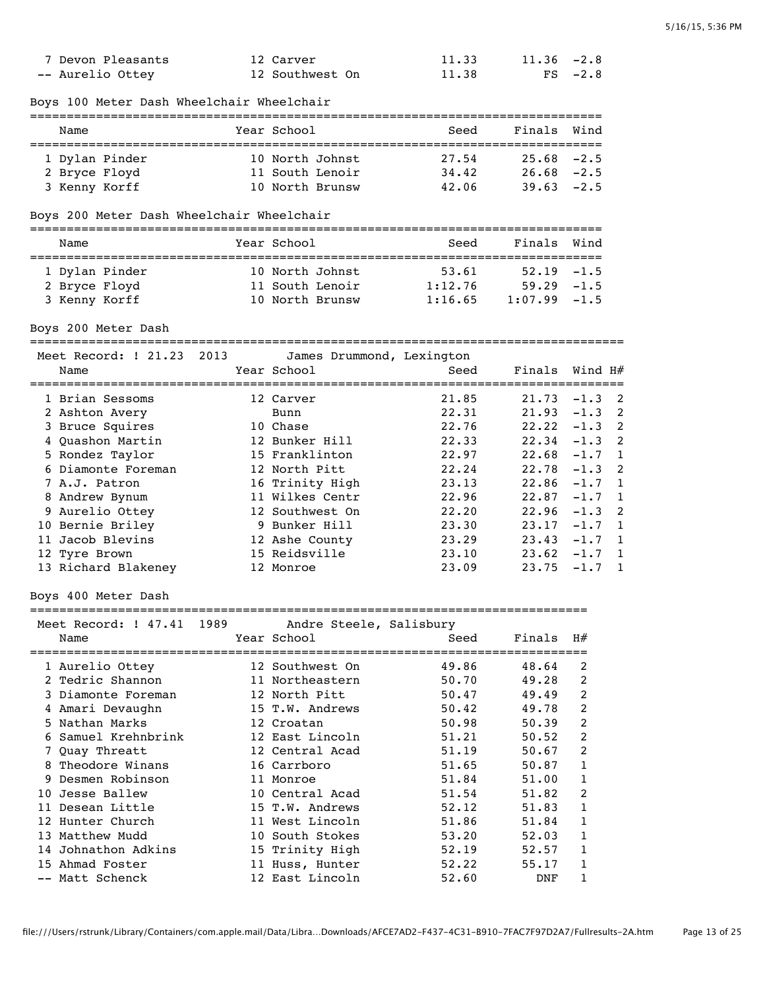|   | 7 Devon Pleasants<br>-- Aurelio Ottey     |      | 12 Carver<br>12 Southwest On       | 11.33<br>11.38     | 11.36<br>$_{\rm FS}$ | $-2.8$<br>$-2.8$ |              |
|---|-------------------------------------------|------|------------------------------------|--------------------|----------------------|------------------|--------------|
|   | Boys 100 Meter Dash Wheelchair Wheelchair |      |                                    |                    |                      |                  |              |
|   | Name                                      |      | Year School                        | Seed               | Finals               | Wind             |              |
|   | 1 Dylan Pinder                            |      | 10 North Johnst                    | 27.54              | $25.68 - 2.5$        |                  |              |
|   | 2 Bryce Floyd                             |      | 11 South Lenoir                    | 34.42              | $26.68 - 2.5$        |                  |              |
|   | 3 Kenny Korff                             |      | 10 North Brunsw                    | 42.06              | 39.63                | $-2.5$           |              |
|   | Boys 200 Meter Dash Wheelchair Wheelchair |      |                                    |                    |                      |                  |              |
|   | Name                                      |      | Year School                        | Seed               | Finals               | Wind             |              |
|   |                                           |      |                                    |                    |                      |                  |              |
|   | 1 Dylan Pinder                            |      | 10 North Johnst                    | 53.61              | 52.19                | $-1.5$           |              |
|   | 2 Bryce Floyd                             |      | 11 South Lenoir<br>10 North Brunsw | 1:12.76<br>1:16.65 | 59.29<br>1:07.99     | $-1.5$<br>$-1.5$ |              |
|   | 3 Kenny Korff                             |      |                                    |                    |                      |                  |              |
|   | Boys 200 Meter Dash                       |      |                                    |                    |                      |                  |              |
|   | Meet Record: ! 21.23                      | 2013 | James Drummond, Lexington          |                    |                      |                  |              |
|   | Name                                      |      | Year School                        | Seed               | Finals               | Wind H#          |              |
|   | 1 Brian Sessoms                           |      | 12 Carver                          | 21.85              | 21.73                | $-1.3$           | 2            |
|   | 2 Ashton Avery                            |      | Bunn                               | 22.31              | 21.93                | $-1.3$           | 2            |
|   | 3 Bruce Squires                           |      | 10 Chase                           | 22.76              | 22.22                | $-1.3$           | 2            |
|   | 4 Quashon Martin                          |      | 12 Bunker Hill                     | 22.33              | 22.34                | $-1.3$           | 2            |
|   | 5 Rondez Taylor                           |      | 15 Franklinton                     | 22.97              | 22.68                | $-1.7$           | 1            |
|   | 6 Diamonte Foreman                        |      | 12 North Pitt                      | 22.24              | 22.78                | $-1.3$           | 2            |
|   | 7 A.J. Patron                             |      | 16 Trinity High                    | 23.13              | 22.86                | $-1.7$           | $\mathbf{1}$ |
|   | 8 Andrew Bynum                            |      | 11 Wilkes Centr                    | 22.96              | 22.87                | $-1.7$           | 1            |
|   | 9 Aurelio Ottey                           |      | 12 Southwest On                    | 22.20              | 22.96                | $-1.3$           | 2            |
|   | 10 Bernie Briley                          |      | 9 Bunker Hill                      | 23.30              | 23.17                | $-1.7$           | $\mathbf{1}$ |
|   | 11 Jacob Blevins                          |      | 12 Ashe County                     | 23.29              | 23.43                | $-1.7$           | 1            |
|   | 12 Tyre Brown                             |      | 15 Reidsville                      | 23.10              | 23.62                | $-1.7$           | $\mathbf{1}$ |
|   | 13 Richard Blakeney                       |      | 12 Monroe                          | 23.09              | 23.75                | $-1.7$           | $\mathbf{1}$ |
|   | Boys 400 Meter Dash                       |      |                                    |                    |                      |                  |              |
|   |                                           |      |                                    |                    |                      |                  |              |
|   | Meet Record: ! 47.41                      | 1989 | Andre Steele, Salisbury            |                    |                      |                  |              |
|   | Name                                      |      | Year School<br>------------        | Seed               | Finals<br>=======    | H#               |              |
|   | 1 Aurelio Ottey                           |      | 12 Southwest On                    | 49.86              | 48.64                | 2                |              |
|   | 2 Tedric Shannon                          |      | 11 Northeastern                    | 50.70              | 49.28                | 2                |              |
|   | 3 Diamonte Foreman                        |      | 12 North Pitt                      | 50.47              | 49.49                | 2                |              |
|   | 4 Amari Devaughn                          |      | 15 T.W. Andrews                    | 50.42              | 49.78                | 2                |              |
|   | 5 Nathan Marks                            |      | 12 Croatan                         | 50.98              | 50.39                | 2                |              |
|   | 6 Samuel Krehnbrink                       |      | 12 East Lincoln                    | 51.21              | 50.52                | 2                |              |
|   | 7 Quay Threatt                            |      | 12 Central Acad                    | 51.19              | 50.67                | 2                |              |
|   | 8 Theodore Winans                         |      | 16 Carrboro                        | 51.65              | 50.87                | 1                |              |
| 9 | Desmen Robinson                           |      | 11 Monroe                          | 51.84              | 51.00                | 1                |              |
|   | 10 Jesse Ballew                           |      | 10 Central Acad                    | 51.54              | 51.82                | 2                |              |
|   | 11 Desean Little                          |      | 15 T.W. Andrews                    | 52.12              | 51.83                | 1                |              |
|   | 12 Hunter Church                          |      | 11 West Lincoln                    | 51.86              | 51.84                | 1                |              |
|   | 13 Matthew Mudd                           |      | 10 South Stokes                    | 53.20              | 52.03                | 1                |              |
|   | 14 Johnathon Adkins                       |      | 15 Trinity High                    | 52.19              | 52.57                | 1                |              |
|   | 15 Ahmad Foster                           |      | 11 Huss, Hunter                    | 52.22              | 55.17                | 1                |              |
|   | -- Matt Schenck                           |      | 12 East Lincoln                    | 52.60              | DNF                  | 1                |              |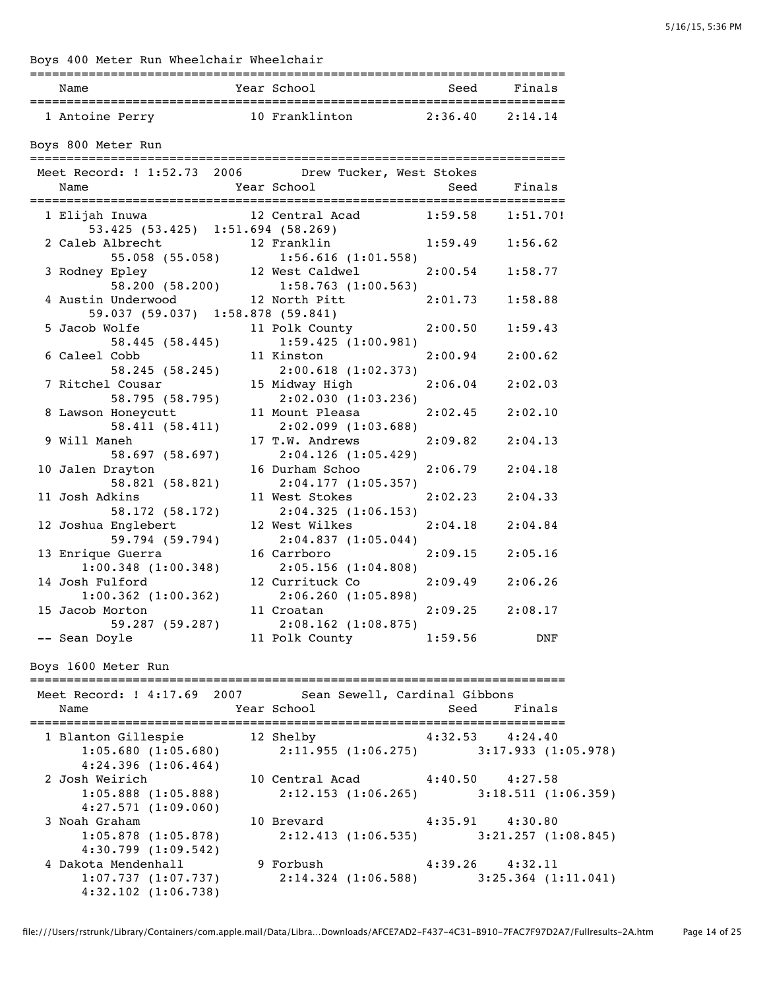| Name                                                                                                                                                                 | Year School                      | Seed Finals         |         |
|----------------------------------------------------------------------------------------------------------------------------------------------------------------------|----------------------------------|---------------------|---------|
| 1 Antoine Perry 10 Franklinton 2:36.40 2:14.14                                                                                                                       |                                  |                     |         |
| Boys 800 Meter Run                                                                                                                                                   |                                  |                     |         |
| Meet Record: ! 1:52.73 2006 Drew Tucker, West Stokes                                                                                                                 |                                  |                     |         |
| Year School<br>Name                                                                                                                                                  | Seed Finals                      |                     |         |
|                                                                                                                                                                      |                                  |                     |         |
| 1 Elijah Inuwa                                                                                                                                                       | 12 Central Acad 1:59.58 1:51.70! |                     |         |
| 53.425 (53.425) 1:51.694 (58.269)                                                                                                                                    |                                  |                     |         |
| 2 Caleb Albrecht<br>55.058 (55.058) 1:56.616 (1:01.558)<br>3 Rodney Epley 12 West Caldwel<br>58.200 (58.200) 1:58.763 (1:00.563)<br>4 Austin Underwood 12 North Pitt |                                  | $1:59.49$ $1:56.62$ |         |
|                                                                                                                                                                      |                                  |                     |         |
|                                                                                                                                                                      |                                  | $2:00.54$ 1:58.77   |         |
|                                                                                                                                                                      |                                  |                     |         |
|                                                                                                                                                                      |                                  | $2:01.73$ 1:58.88   |         |
| 59.037 (59.037) 1:58.878 (59.841)                                                                                                                                    |                                  |                     |         |
| 5 Jacob Wolfe Dans                                                                                                                                                   | 11 Polk County                   | $2:00.50$ 1:59.43   |         |
| 58.445 (58.445)                                                                                                                                                      | 1:59.425(1:00.981)               |                     |         |
| 6 Caleel Cobb                                                                                                                                                        | 11 Kinston                       | $2:00.94$ $2:00.62$ |         |
| 58.245 (58.245)                                                                                                                                                      | 2:00.618(1:02.373)               |                     |         |
| 7 Ritchel Cousar                                                                                                                                                     | 15 Midway High                   | 2:06.04             | 2:02.03 |
| 58.795 (58.795)                                                                                                                                                      | 2:02.030(1:03.236)               |                     |         |
| 8 Lawson Honeycutt                                                                                                                                                   | 11 Mount Pleasa                  | 2:02.45             | 2:02.10 |
| 58.411(58.411)                                                                                                                                                       | 2:02.099(1:03.688)               |                     |         |
| 9 Will Maneh                                                                                                                                                         | 17 T.W. Andrews                  | 2:09.82             | 2:04.13 |
| 58.697 (58.697)                                                                                                                                                      | 2:04.126(1:05.429)               |                     |         |
| 10 Jalen Drayton                                                                                                                                                     | 16 Durham Schoo                  | 2:06.79             | 2:04.18 |
| 58.821 (58.821)                                                                                                                                                      | 2:04.177(1:05.357)               |                     |         |
| 11 Josh Adkins                                                                                                                                                       | 11 West Stokes                   | 2:02.23             | 2:04.33 |
| 58.172 (58.172)                                                                                                                                                      | 2:04.325(1:06.153)               |                     |         |
| 12 Joshua Englebert                                                                                                                                                  | 12 West Wilkes                   | 2:04.18             | 2:04.84 |
| 59.794 (59.794)                                                                                                                                                      | 2:04.837(1:05.044)               |                     |         |
| 13 Enrique Guerra                                                                                                                                                    | 16 Carrboro                      | $2:09.15$ $2:05.16$ |         |
| 1:00.348(1:00.348)                                                                                                                                                   | $2:05.156$ (1:04.808)            |                     |         |
| 14 Josh Fulford                                                                                                                                                      | 12 Currituck Co 2:09.49 2:06.26  |                     |         |
| $1:00.362$ $(1:00.362)$                                                                                                                                              | 2:06.260(1:05.898)               |                     |         |
| 15 Jacob Morton                                                                                                                                                      | 11 Croatan                       | $2:09.25$ $2:08.17$ |         |
| 59.287 (59.287)                                                                                                                                                      | $2:08.162$ $(1:08.875)$          |                     |         |
| -- Sean Doyle                                                                                                                                                        | 11 Polk County                   | 1:59.56             | DNF     |
|                                                                                                                                                                      |                                  |                     |         |
| Boys 1600 Meter Run                                                                                                                                                  |                                  |                     |         |

| 1 Blanton Gillespie 12 Shelby 1:32.53 4:24.40                                                    |  |
|--------------------------------------------------------------------------------------------------|--|
| 1:05.680(1:05.680)<br>$2:11.955(1:06.275)$ $3:17.933(1:05.978)$<br>4:24.396(1:06.464)            |  |
| 2 Josh Weirich<br>10 Central Acad 4:40.50 4:27.58                                                |  |
| $1:05.888$ $(1:05.888)$<br>$2:12.153$ (1:06.265) 3:18.511 (1:06.359)<br>$4:27.571$ $(1:09.060)$  |  |
| 10 Brevard 4:35.91 4:30.80<br>3 Noah Graham                                                      |  |
| $2:12.413$ $(1:06.535)$ $3:21.257$ $(1:08.845)$<br>$1:05.878$ $(1:05.878)$<br>4:30.799(1:09.542) |  |
| 4 Dakota Mendenhall<br>9 Forbush    4:39.26    4:32.11                                           |  |
| $1:07.737$ (1:07.737)<br>$2:14.324$ (1:06.588) 3:25.364 (1:11.041)<br>$4:32.102$ $(1:06.738)$    |  |

file:///Users/rstrunk/Library/Containers/com.apple.mail/Data/Libra…Downloads/AFCE7AD2-F437-4C31-B910-7FAC7F97D2A7/Fullresults-2A.htm Page 14 of 25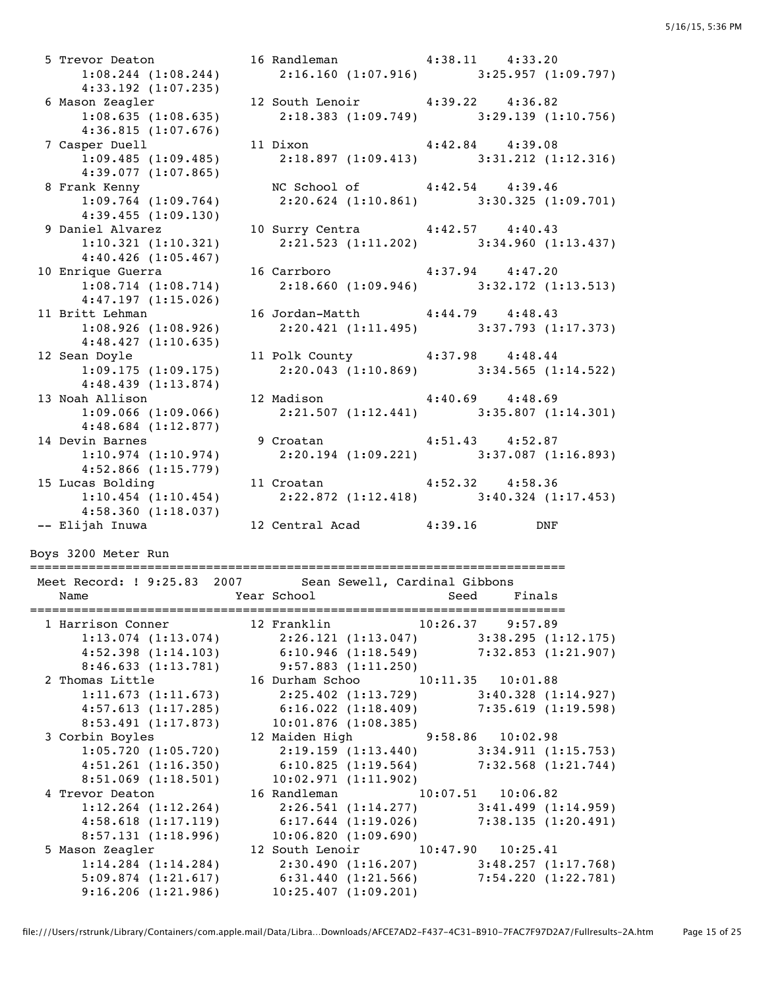5 Trevor Deaton 16 Randleman 4:38.11 4:33.20 1:08.244 (1:08.244) 2:16.160 (1:07.916) 3:25.957 (1:09.797) 4:33.192 (1:07.235) 6 Mason Zeagler 12 South Lenoir 4:39.22 4:36.82 1:08.635 (1:08.635) 2:18.383 (1:09.749) 3:29.139 (1:10.756) 4:36.815 (1:07.676) 7 Casper Duell 11 Dixon 4:42.84 4:39.08 1:09.485 (1:09.485) 2:18.897 (1:09.413) 3:31.212 (1:12.316) 4:39.077 (1:07.865) 8 Frank Kenny NC School of 4:42.54 4:39.46 1:09.764 (1:09.764) 2:20.624 (1:10.861) 3:30.325 (1:09.701) 4:39.455 (1:09.130) 9 Daniel Alvarez 10 Surry Centra 4:42.57 4:40.43 1:10.321 (1:10.321) 2:21.523 (1:11.202) 3:34.960 (1:13.437) 4:40.426 (1:05.467) 10 Enrique Guerra 16 Carrboro 4:37.94 4:47.20 1:08.714 (1:08.714) 2:18.660 (1:09.946) 3:32.172 (1:13.513) 4:47.197 (1:15.026) 11 Britt Lehman 16 Jordan-Matth 4:44.79 4:48.43 1:08.926 (1:08.926) 2:20.421 (1:11.495) 3:37.793 (1:17.373) 4:48.427 (1:10.635) 12 Sean Doyle 11 Polk County 4:37.98 4:48.44 1:09.175 (1:09.175) 2:20.043 (1:10.869) 3:34.565 (1:14.522) 4:48.439 (1:13.874) 13 Noah Allison 12 Madison 4:40.69 4:48.69 1:09.066 (1:09.066) 2:21.507 (1:12.441) 3:35.807 (1:14.301) 4:48.684 (1:12.877) 14 Devin Barnes 9 Croatan 4:51.43 4:52.87<br>1:10.974 (1:10.974) 2:20.194 (1:09.221) 3:37.087 (1 1:10.974 (1:10.974) 2:20.194 (1:09.221) 3:37.087 (1:16.893) 4:52.866 (1:15.779) 15 Lucas Bolding 11 Croatan 4:52.32 4:58.36 1:10.454 (1:10.454) 2:22.872 (1:12.418) 3:40.324 (1:17.453) 4:58.360 (1:18.037) -- Elijah Inuwa 12 Central Acad 4:39.16 DNF Boys 3200 Meter Run ========================================================================= Meet Record: ! 9:25.83 2007 Sean Sewell, Cardinal Gibbons Name Tear School Seed Finals ========================================================================= 1 Harrison Conner 12 Franklin 10:26.37 9:57.89 1:13.074 (1:13.074) 2:26.121 (1:13.047) 3:38.295 (1:12.175) 4:52.398 (1:14.103) 6:10.946 (1:18.549) 7:32.853 (1:21.907) 8:46.633 (1:13.781) 9:57.883 (1:11.250) 2 Thomas Little 16 Durham Schoo 10:11.35 10:01.88 1:11.673 (1:11.673) 2:25.402 (1:13.729) 3:40.328 (1:14.927) 4:57.613 (1:17.285) 6:16.022 (1:18.409) 7:35.619 (1:19.598) 8:53.491 (1:17.873) 10:01.876 (1:08.385) 3 Corbin Boyles 12 Maiden High 9:58.86 10:02.98 1:05.720 (1:05.720) 2:19.159 (1:13.440) 3:34.911 (1:15.753) 4:51.261 (1:16.350) 6:10.825 (1:19.564) 7:32.568 (1:21.744) 8:51.069 (1:18.501) 10:02.971 (1:11.902) 4 Trevor Deaton 16 Randleman 10:07.51 10:06.82 1:12.264 (1:12.264) 2:26.541 (1:14.277) 3:41.499 (1:14.959) 4:58.618 (1:17.119) 6:17.644 (1:19.026) 7:38.135 (1:20.491) 8:57.131 (1:18.996) 10:06.820 (1:09.690) 5 Mason Zeagler 12 South Lenoir 10:47.90 10:25.41 1:14.284 (1:14.284) 2:30.490 (1:16.207) 3:48.257 (1:17.768) 5:09.874 (1:21.617) 6:31.440 (1:21.566) 7:54.220 (1:22.781) 9:16.206 (1:21.986) 10:25.407 (1:09.201)

file:///Users/rstrunk/Library/Containers/com.apple.mail/Data/Libra…Downloads/AFCE7AD2-F437-4C31-B910-7FAC7F97D2A7/Fullresults-2A.htm Page 15 of 25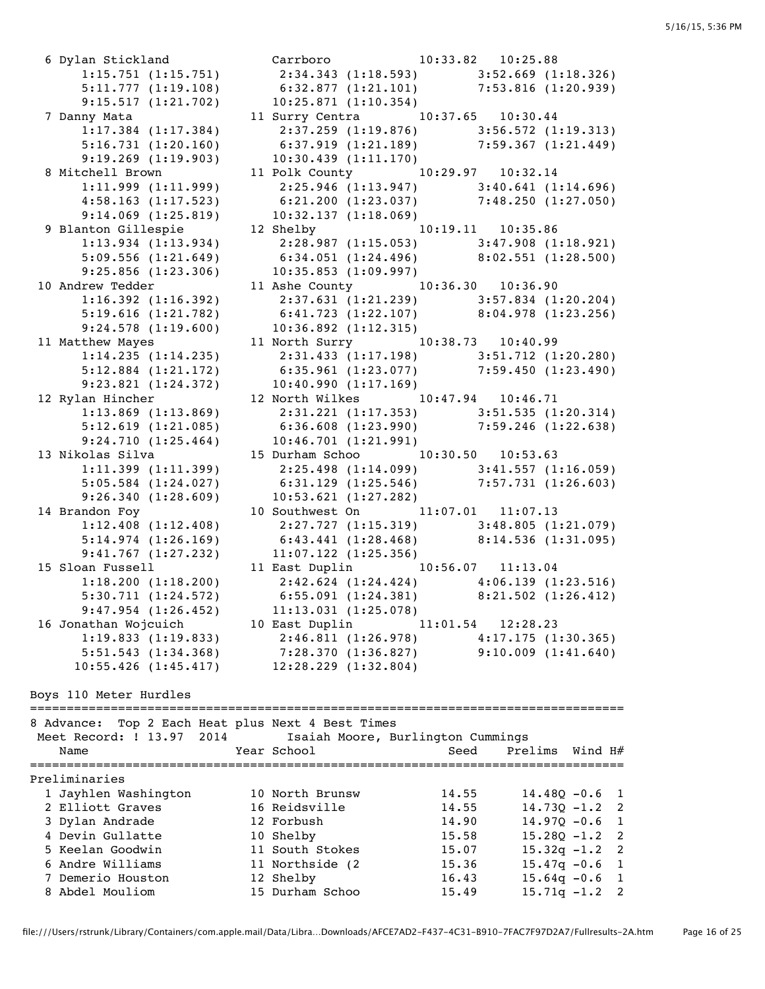6 Dylan Stickland Carrboro 10:33.82 10:25.88 9:15.517 (1:21.702) 10:25.871 (1:10.354) 7 Danny Mata 11 Surry Centra 10:37.65 10:30.44 9:19.269 (1:19.903) 10:30.439 (1:11.170) 8 Mitchell Brown 11 Polk County 10:29.97 10:32.14 9:14.069 (1:25.819) 10:32.137 (1:18.069) 9 Blanton Gillespie 12 Shelby 10:19.11 10:35.86 9:25.856 (1:23.306) 10:35.853 (1:09.997) 10 Andrew Tedder 11 Ashe County 10:36.30 10:36.90 9:24.578 (1:19.600) 10:36.892 (1:12.315) 9:23.821 (1:24.372) 10:40.990 (1:17.169) 12 Rylan Hincher 12 North Wilkes 10:47.94 10:46.71 9:24.710 (1:25.464) 10:46.701 (1:21.991) 13 Nikolas Silva 15 Durham Schoo 10:30.50 10:53.63 9:26.340 (1:28.609) 10:53.621 (1:27.282) 14 Brandon Foy 10 Southwest On 11:07.01 11:07.13 9:41.767 (1:27.232) 11:07.122 (1:25.356) 15 Sloan Fussell 11 East Duplin 10:56.07 11:13.04 9:47.954 (1:26.452) 11:13.031 (1:25.078) 16 Jonathan Wojcuich 10 East Duplin 11:01.54 12:28.23

 1:15.751 (1:15.751) 2:34.343 (1:18.593) 3:52.669 (1:18.326) 5:11.777 (1:19.108) 6:32.877 (1:21.101) 7:53.816 (1:20.939) 1:17.384 (1:17.384) 2:37.259 (1:19.876) 3:56.572 (1:19.313) 5:16.731 (1:20.160) 6:37.919 (1:21.189) 7:59.367 (1:21.449) 1:11.999 (1:11.999) 2:25.946 (1:13.947) 3:40.641 (1:14.696) 4:58.163 (1:17.523) 6:21.200 (1:23.037) 7:48.250 (1:27.050) 1:13.934 (1:13.934) 2:28.987 (1:15.053) 3:47.908 (1:18.921) 5:09.556 (1:21.649) 6:34.051 (1:24.496) 8:02.551 (1:28.500) 1:16.392 (1:16.392) 2:37.631 (1:21.239) 3:57.834 (1:20.204) 5:19.616 (1:21.782) 6:41.723 (1:22.107) 8:04.978 (1:23.256) 1:16.392 (1:16.392)<br>
5:19.616 (1:21.782)<br>
9:24.578 (1:19.600)<br>
11 Matthew Mayes<br>
11 North Surry<br>
10:38.73<br>
10:40.99 1:14.235 (1:14.235) 2:31.433 (1:17.198) 3:51.712 (1:20.280) 5:12.884 (1:21.172) 6:35.961 (1:23.077) 7:59.450 (1:23.490) 1:13.869 (1:13.869) 2:31.221 (1:17.353) 3:51.535 (1:20.314) 5:12.619 (1:21.085) 6:36.608 (1:23.990) 7:59.246 (1:22.638) 1:11.399 (1:11.399) 2:25.498 (1:14.099) 3:41.557 (1:16.059) 5:05.584 (1:24.027) 6:31.129 (1:25.546) 7:57.731 (1:26.603) 1:12.408 (1:12.408) 2:27.727 (1:15.319) 3:48.805 (1:21.079) 5:14.974 (1:26.169) 6:43.441 (1:28.468) 8:14.536 (1:31.095) 1:18.200 (1:18.200) 2:42.624 (1:24.424) 4:06.139 (1:23.516) 5:30.711 (1:24.572) 6:55.091 (1:24.381) 8:21.502 (1:26.412) 1:19.833 (1:19.833) 2:46.811 (1:26.978) 4:17.175 (1:30.365) 5:51.543 (1:34.368) 7:28.370 (1:36.827) 9:10.009 (1:41.640) 10:55.426 (1:45.417) 12:28.229 (1:32.804)

Boys 110 Meter Hurdles

| 8 Advance:<br>Meet Record: ! 13.97 2014<br>Name | Top 2 Each Heat plus Next 4 Best Times<br>Isaiah Moore, Burlington Cummings<br>Year School | Seed  | Prelims Wind H#  |  |
|-------------------------------------------------|--------------------------------------------------------------------------------------------|-------|------------------|--|
| Preliminaries                                   |                                                                                            |       |                  |  |
| 1 Jayhlen Washington                            | 10 North Brunsw                                                                            | 14.55 | $14.480 - 0.6$ 1 |  |
| 2 Elliott Graves                                | 16 Reidsville                                                                              | 14.55 | $14.730 - 1.2$ 2 |  |
| 3 Dylan Andrade                                 | 12 Forbush                                                                                 | 14.90 | $14.970 - 0.6$ 1 |  |
| 4 Devin Gullatte                                | 10 Shelby                                                                                  | 15.58 | $15.280 - 1.2$ 2 |  |
| 5 Keelan Goodwin                                | 11 South Stokes                                                                            | 15.07 | $15.32q - 1.2$ 2 |  |
| 6 Andre Williams                                | 11 Northside (2)                                                                           | 15.36 | $15.47q - 0.6$ 1 |  |
| 7 Demerio Houston                               | 12 Shelby                                                                                  | 16.43 | $15.64q - 0.6$ 1 |  |
| 8 Abdel Mouliom                                 | 15 Durham Schoo                                                                            | 15.49 | $15.71q - 1.2$ 2 |  |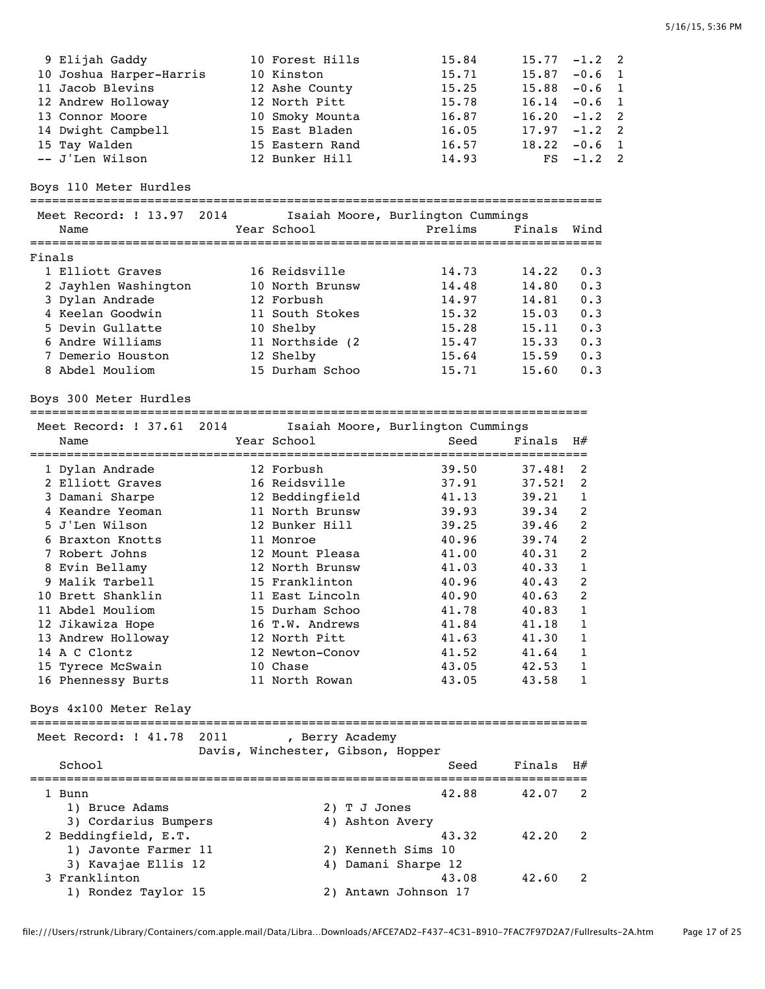| 9 Elijah Gaddy          | 10 Forest Hills | 15.84 | $15.77 - 1.2$ 2 |          |  |
|-------------------------|-----------------|-------|-----------------|----------|--|
| 10 Joshua Harper-Harris | 10 Kinston      | 15.71 | 15.87           | $-0.6$ 1 |  |
| 11 Jacob Blevins        | 12 Ashe County  | 15.25 | $15.88 - 0.6$ 1 |          |  |
| 12 Andrew Holloway      | 12 North Pitt   | 15.78 | $16.14 - 0.6$ 1 |          |  |
| 13 Connor Moore         | 10 Smoky Mounta | 16.87 | $16.20 -1.2$ 2  |          |  |
| 14 Dwight Campbell      | 15 East Bladen  | 16.05 | $17.97 - 1.2$ 2 |          |  |
| 15 Tay Walden           | 15 Eastern Rand | 16.57 | $18.22 - 0.6$ 1 |          |  |
| -- J'Len Wilson         | 12 Bunker Hill  | 14.93 | $FS -1.2 2$     |          |  |

Boys 110 Meter Hurdles

==============================================================================

|        | Meet Record: ! 13.97 | 2014 |                  | Isaiah Moore, Burlington Cummings |        |      |
|--------|----------------------|------|------------------|-----------------------------------|--------|------|
|        | Name                 |      | Year School      | Prelims                           | Finals | Wind |
|        |                      |      |                  |                                   |        |      |
| Finals |                      |      |                  |                                   |        |      |
|        | 1 Elliott Graves     |      | 16 Reidsville    | 14.73                             | 14.22  | 0.3  |
|        | 2 Jayhlen Washington |      | 10 North Brunsw  | 14.48                             | 14.80  | 0.3  |
|        | 3 Dylan Andrade      |      | 12 Forbush       | 14.97                             | 14.81  | 0.3  |
|        | 4 Keelan Goodwin     |      | 11 South Stokes  | 15.32                             | 15.03  | 0.3  |
|        | 5 Devin Gullatte     |      | 10 Shelby        | 15.28                             | 15.11  | 0.3  |
|        | 6 Andre Williams     |      | 11 Northside (2) | 15.47                             | 15.33  | 0.3  |
|        | 7 Demerio Houston    |      | 12 Shelby        | 15.64                             | 15.59  | 0.3  |
|        | 8 Abdel Mouliom      |      | 15 Durham Schoo  | 15.71                             | 15.60  | 0.3  |
|        |                      |      |                  |                                   |        |      |

Boys 300 Meter Hurdles

============================================================================

| Meet Record: ! 37.61 2014 |  |                 | Isaiah Moore, Burlington Cummings |        |                |
|---------------------------|--|-----------------|-----------------------------------|--------|----------------|
| Name                      |  | Year School     | Seed<br>=======================   | Finals | H#             |
| 1 Dylan Andrade           |  | 12 Forbush      | 39.50                             | 37.48! | 2              |
| 2 Elliott Graves          |  | 16 Reidsville   | 37.91                             | 37.52! | 2              |
| 3 Damani Sharpe           |  | 12 Beddingfield | 41.13                             | 39.21  | 1              |
| Keandre Yeoman            |  | 11 North Brunsw | 39.93                             | 39.34  | 2              |
| 5 J'Len Wilson            |  | 12 Bunker Hill  | 39.25                             | 39.46  | 2              |
| Braxton Knotts            |  | 11 Monroe       | 40.96                             | 39.74  | $\overline{2}$ |
| 7 Robert Johns            |  | 12 Mount Pleasa | 41.00                             | 40.31  | 2              |
| 8 Evin Bellamy            |  | 12 North Brunsw | 41.03                             | 40.33  | 1              |
| 9 Malik Tarbell           |  | 15 Franklinton  | 40.96                             | 40.43  | 2              |
| 10 Brett Shanklin         |  | 11 East Lincoln | 40.90                             | 40.63  | $\overline{2}$ |
| 11 Abdel Mouliom          |  | 15 Durham Schoo | 41.78                             | 40.83  | 1              |
| 12 Jikawiza Hope          |  | 16 T.W. Andrews | 41.84                             | 41.18  | 1              |
| 13 Andrew Holloway        |  | 12 North Pitt   | 41.63                             | 41.30  | 1              |
| 14 A C Clontz             |  | 12 Newton-Conov | 41.52                             | 41.64  | 1              |
| 15 Tyrece McSwain         |  | 10 Chase        | 43.05                             | 42.53  | 1              |
| 16 Phennessy Burts        |  | 11 North Rowan  | 43.05                             | 43.58  | 1              |

Boys 4x100 Meter Relay

## ============================================================================ Meet Record: ! 41.78 2011

|                      | Davis, Winchester, Gibson, Hopper |        |    |
|----------------------|-----------------------------------|--------|----|
| School               | Seed                              | Finals | H# |
| Bunn                 | 42.88                             | 42.07  |    |
| Bruce Adams<br>1)    | 2) T J Jones                      |        |    |
| 3) Cordarius Bumpers | 4) Ashton Avery                   |        |    |
| 2 Beddingfield, E.T. | 43.32                             | 42.20  |    |
| 1) Javonte Farmer 11 | 2) Kenneth Sims 10                |        |    |
| 3) Kavajae Ellis 12  | 4) Damani Sharpe 12               |        |    |
| 3 Franklinton        | 43.08                             | 42.60  |    |
| 1) Rondez Taylor 15  | Antawn Johnson 17                 |        |    |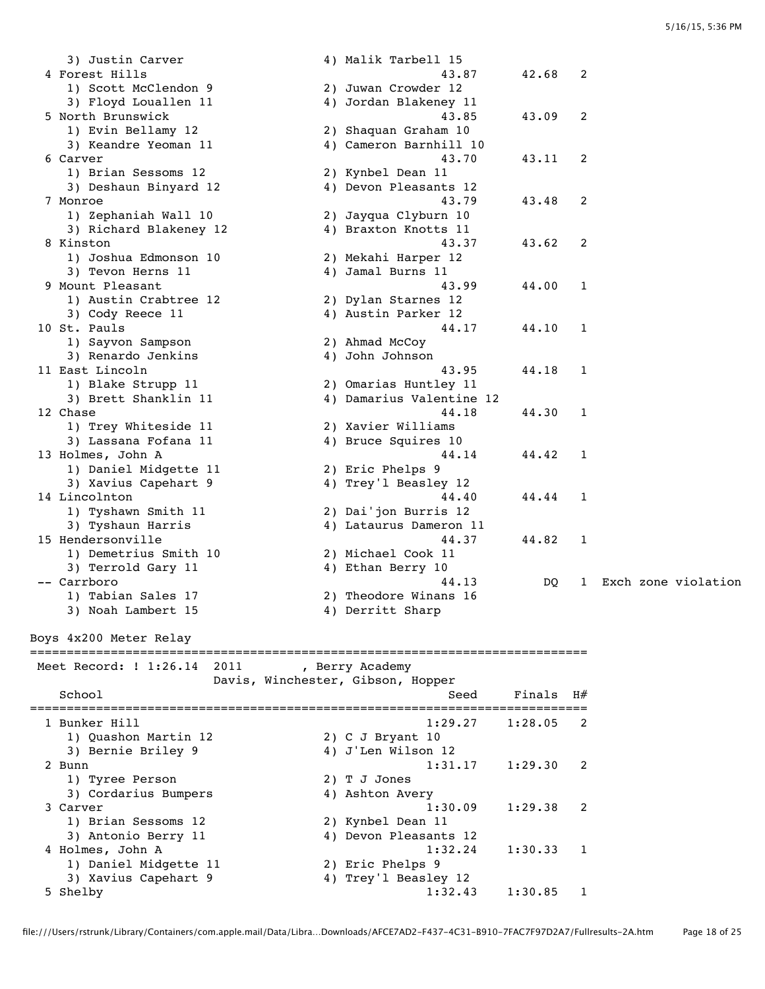3) Justin Carver 4) Malik Tarbell 15 4 Forest Hills 43.87 42.68 2 1) Scott McClendon 9 2) Juwan Crowder 12 3) Floyd Louallen 11  $\hskip1cm 4$ ) Jordan Blakeney 11 5 North Brunswick  $\begin{array}{cccc} 43.85 & 43.09 & 2 \\ 1) & \text{Evin Bellamy} & 12 & 2) & \text{Shaquan Graham} & 10 \end{array}$ 2) Shaquan Graham 10 3) Keandre Yeoman 11 4) Cameron Barnhill 10 6 Carver 43.70 43.11 2 1) Brian Sessoms 12 2) Kynbel Dean 11 3) Deshaun Binyard 12 4) Devon Pleasants 12 7 Monroe 43.79 43.48 2 1) Zephaniah Wall 10 2) Jayqua Clyburn 10 3) Richard Blakeney 12 4) Braxton Knotts 11 8 Kinston 43.37 43.62 2 1) Joshua Edmonson 10 2) Mekahi Harper 12 3) Tevon Herns 11 4) Jamal Burns 11 9 Mount Pleasant 43.99 44.00 1 1) Austin Crabtree 12 2) Dylan Starnes 12 3) Cody Reece 11 4) Austin Parker 12 10 St. Pauls 44.17 44.10 1<br>1) Sayvon Sampson 2) Ahmad McCoy 1) Sayvon Sampson 3) Renardo Jenkins (4) John Johnson 11 East Lincoln 43.95 44.18 1 1) Blake Strupp 11 2) Omarias Huntley 11 3) Brett Shanklin 11 4) Damarius Valentine 12 12 Chase 44.18 44.30 1 1) Trey Whiteside 11 2) Xavier Williams 3) Lassana Fofana 11 4) Bruce Squires 10 13 Holmes, John A 64.14 44.42 1 1) Daniel Midgette 11 2) Eric Phelps 9 3) Xavius Capehart 9 4) Trey'l Beasley 12 14 Lincolnton 44.40 44.44 1 1) Tyshawn Smith 11 2) Dai'jon Burris 12 3) Tyshaun Harris 4) Lataurus Dameron 11 15 Hendersonville 44.37 44.82 1 1) Demetrius Smith 10 2) Michael Cook 11 3) Terrold Gary 11 4) Ethan Berry 10 -- Carrboro 44.13 DQ 1 Exch zone violation 1) Tabian Sales 17 2) Theodore Winans 16 3) Noah Lambert 15 4) Derritt Sharp Boys 4x200 Meter Relay ============================================================================ Meet Record: ! 1:26.14 2011 , Berry Academy Davis, Winchester, Gibson, Hopper School School School Seed Finals H# ============================================================================ 1 Bunker Hill 1:29.27 1:28.05 2 1) Quashon Martin 12 2) C J Bryant 10 3) Bernie Briley 9 4) J'Len Wilson 12 2 Bunn 1:31.17 1:29.30 2 1) Tyree Person 2) T J Jones 3) Cordarius Bumpers (4) Ashton Avery 3 Carver 1:30.09 1:29.38 2 1) Brian Sessoms 12 2) Kynbel Dean 11 3) Antonio Berry 11 4) Devon Pleasants 12 4 Holmes, John A 1:32.24 1:30.33 1 1) Daniel Midgette 11 2) Eric Phelps 9 3) Xavius Capehart 9 4) Trey'l Beasley 12 5 Shelby 1:32.43 1:30.85 1

file:///Users/rstrunk/Library/Containers/com.apple.mail/Data/Libra…Downloads/AFCE7AD2-F437-4C31-B910-7FAC7F97D2A7/Fullresults-2A.htm Page 18 of 25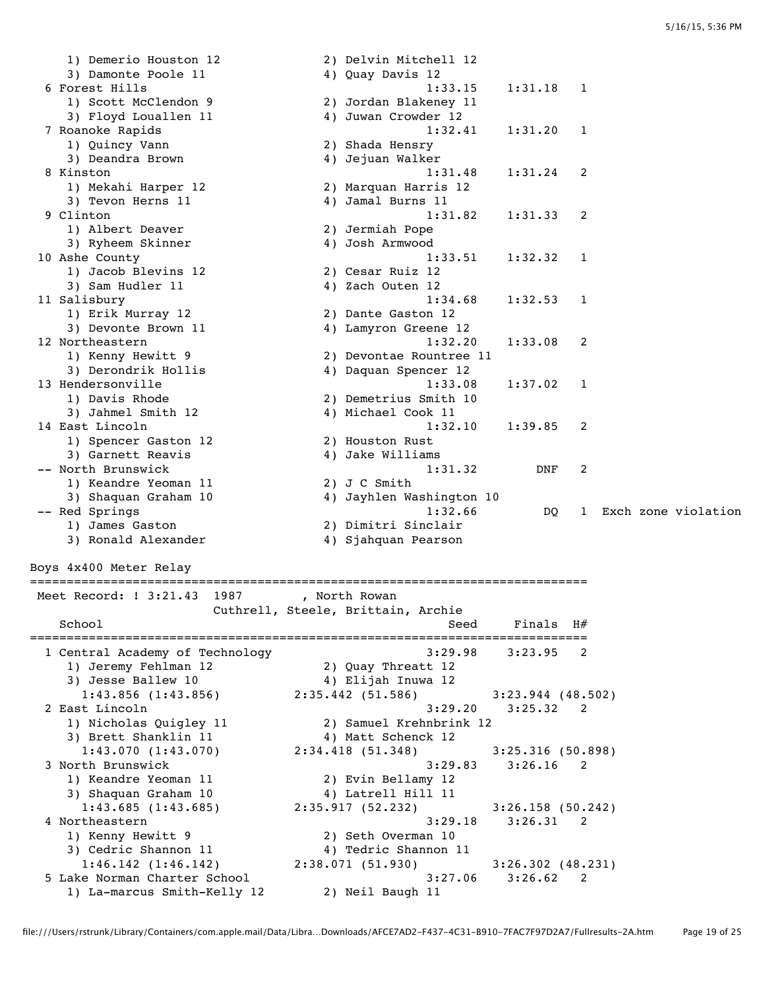1) Demerio Houston 12 2) Delvin Mitchell 12 3) Damonte Poole 11 4) Quay Davis 12 6 Forest Hills 1:33.15 1:31.18 1<br>1) Scott McClendon 9 2) Jordan Blakeney 11<br>3) Floyd Louallen 11 4) Juwan Crowder 12 1) Scott McClendon 9 2) Jordan Blakeney 11 3) Floyd Louallen 11 4) Juwan Crowder 12 7 Roanoke Rapids 1:32.41 1:31.20 1 1) Quincy Vann 2) Shada Hensry 3) Deandra Brown (4) Jejuan Walker 8 Kinston 1:31.48 1:31.24 2 1) Mekahi Harper 12 2) Marquan Harris 12 3) Tevon Herns 11 (4) Jamal Burns 11 1) Mekahi Harper 12 (2) Marquan Harris 12<br>3) Tevon Herns 11 (4) Jamal Burns 11<br>9 Clinton (1:31.82 1:31.33 2 1) Albert Deaver 2) Jermiah Pope 3) Ryheem Skinner 4) Josh Armwood 3) Kyneem Skinner<br>10 Ashe County<br>11 Jacob Blevins 12 12 2) Cesar Ruiz 12 1) Jacob Blevins 12 3) Sam Hudler 11 4) Zach Outen 12 11 Salisbury 1:34.68 1:32.53 1<br>
1) Erik Murray 12 2) Dante Gaston 12<br>
3) Devonte Brown 11 4) Lamyron Greene 12 1) Erik Murray 12 2) Dante Gaston 12 3) Devonte Brown 11 4) Lamyron Greene 12 12 Northeastern 1:32.20 1:33.08 2 1) Kenny Hewitt 9 2) Devontae Rountree 11 3) Derondrik Hollis 4) Daquan Spencer 12 13 Hendersonville 1:33.08 1:37.02 1 1) Davis Rhode 2) Demetrius Smith 10 3) Jahmel Smith 12 4) Michael Cook 11 14 East Lincoln 1:32.10 1:39.85 2 1) Spencer Gaston 12 2) Houston Rust 3) Garnett Reavis and the 4) Jake Williams -- North Brunswick 1:31.32 DNF 2 1) Keandre Yeoman 11 2) J C Smith 3) Shaquan Graham 10 4) Jayhlen Washington 10 -- Red Springs 1:32.66 DQ 1 Exch zone violation 1) James Gaston 2) Dimitri Sinclair 3) Ronald Alexander 4) Sjahquan Pearson Boys 4x400 Meter Relay ============================================================================ Meet Record: ! 3:21.43 1987 , North Rowan Cuthrell, Steele, Brittain, Archie School School Seed Finals H# ============================================================================ 1 Central Academy of Technology 3:29.98 3:23.95 2 1) Jeremy Fehlman 12 2) Quay Threatt 12 3) Jesse Ballew 10 4) Elijah Inuwa 12 1:43.856 (1:43.856) 2:35.442 (51.586) 3:23.944 (48.502) 2 East Lincoln 3:29.20 3:25.32 2 1) Nicholas Quigley 11 2) Samuel Krehnbrink 12 3) Brett Shanklin 11 4) Matt Schenck 12 1:43.070 (1:43.070) 2:34.418 (51.348) 3:25.316 (50.898) 3 North Brunswick 3:29.83 3:26.16 2 1) Keandre Yeoman 11 2) Evin Bellamy 12 3) Shaquan Graham 10  $\hskip1cm \hskip1cm 4$ ) Latrell Hill 11 1:43.685 (1:43.685) 2:35.917 (52.232) 3:26.158 (50.242) 4 Northeastern 3:29.18 3:26.31 2 1) Kenny Hewitt 9 2) Seth Overman 10 3) Cedric Shannon 11 4) Tedric Shannon 11 1:46.142 (1:46.142) 2:38.071 (51.930) 3:26.302 (48.231) 5 Lake Norman Charter School 3:27.06 3:26.62 2 1) La-marcus Smith-Kelly 12 2) Neil Baugh 11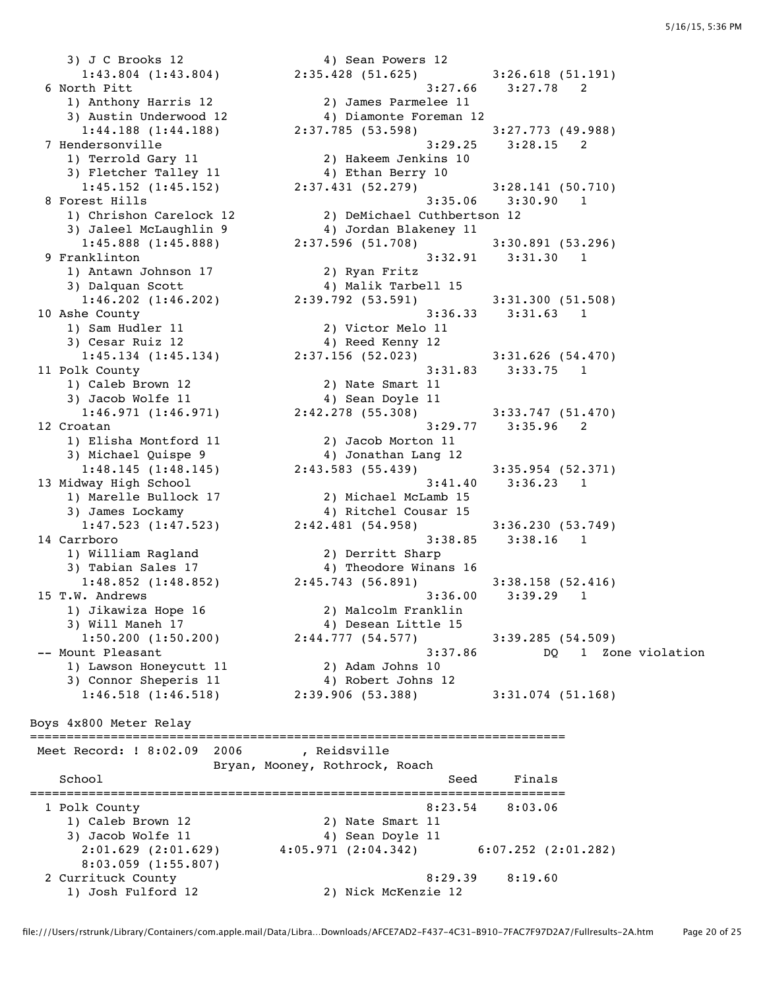3) J C Brooks 12 (4) Sean Powers 12 1) Anthony Harris 12 2) James Parmelee 11 3) Austin Underwood 12 4) Diamonte Foreman 12 1) Terrold Gary 11 2) Hakeem Jenkins 10 3) Fletcher Talley 11 4) Ethan Berry 10 1) Chrishon Carelock 12 2) DeMichael Cuthbertson 12 3) Jaleel McLaughlin 9 4) Jordan Blakeney 11 1) Antawn Johnson 17 2) Ryan Fritz 3) Dalquan Scott 4) Malik Tarbell 15 1) Sam Hudler 11 2) Victor Melo 11 3) Cesar Ruiz 12 and 4) Reed Kenny 12 1) Caleb Brown 12 2) Nate Smart 11 3) Jacob Wolfe 11  $\qquad \qquad \qquad$  4) Sean Doyle 11 1) Elisha Montford 11 2) Jacob Morton 11 3) Michael Quispe 9 4) Jonathan Lang 12 1) Marelle Bullock 17 2) Michael McLamb 15 3) James Lockamy 4) Ritchel Cousar 15 1) William Ragland 2) Derritt Sharp 3) Tabian Sales 17 4) Theodore Winans 16 1) Jikawiza Hope 16 2) Malcolm Franklin 3) Will Maneh 17 4) Desean Little 15 1) Lawson Honeycutt 11 2) Adam Johns 10 3) Connor Sheperis 11 (4) Robert Johns 12 Boys 4x800 Meter Relay =========================================================================

 1:43.804 (1:43.804) 2:35.428 (51.625) 3:26.618 (51.191) 6 North Pitt 3:27.66 3:27.78 2 1:44.188 (1:44.188) 2:37.785 (53.598) 3:27.773 (49.988) 7 Hendersonville 3:29.25 3:28.15 2 1:45.152 (1:45.152) 2:37.431 (52.279) 3:28.141 (50.710) 8 Forest Hills 3:35.06 3:30.90 1 1:45.888 (1:45.888) 2:37.596 (51.708) 3:30.891 (53.296) 9 Franklinton 3:32.91 3:31.30 1 1:46.202 (1:46.202) 2:39.792 (53.591) 3:31.300 (51.508) 10 Ashe County 3:36.33 3:31.63 1 1:45.134 (1:45.134) 2:37.156 (52.023) 3:31.626 (54.470) 11 Polk County 3:31.83 3:33.75 1 1:46.971 (1:46.971) 2:42.278 (55.308) 3:33.747 (51.470) 12 Croatan 3:29.77 3:35.96 2 1:48.145 (1:48.145) 2:43.583 (55.439) 3:35.954 (52.371) 13 Midway High School 3:41.40 3:36.23 1 1:47.523 (1:47.523) 2:42.481 (54.958) 3:36.230 (53.749) 14 Carrboro 3:38.85 3:38.16 1 1:48.852 (1:48.852) 2:45.743 (56.891) 3:38.158 (52.416) 15 T.W. Andrews 3:36.00 3:39.29 1 1:50.200 (1:50.200) 2:44.777 (54.577) 3:39.285 (54.509) -- Mount Pleasant 3:37.86 DQ 1 Zone violation 1:46.518 (1:46.518) 2:39.906 (53.388) 3:31.074 (51.168)

Meet Record: ! 8:02.09 2006 , Reidsville Bryan, Mooney, Rothrock, Roach School Seed Finals ========================================================================= 1 Polk County 8:23.54 8:03.06 1) Caleb Brown 12 2) Nate Smart 11 3) Jacob Wolfe 11  $\qquad \qquad \qquad$  4) Sean Doyle 11 2:01.629 (2:01.629) 4:05.971 (2:04.342) 6:07.252 (2:01.282) 8:03.059 (1:55.807) 2 Currituck County 8:29.39 8:19.60 1) Josh Fulford 12 2) Nick McKenzie 12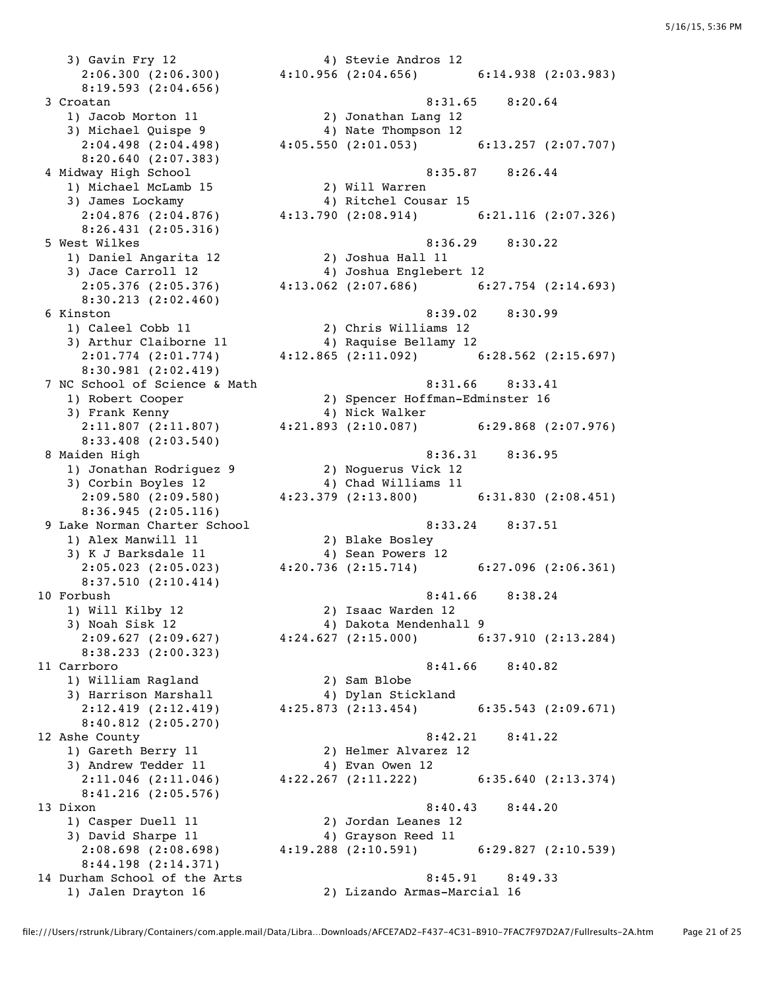3) Gavin Fry 12 4) Stevie Andros 12 8:19.593 (2:04.656) 1) Jacob Morton 11 2) Jonathan Lang 12 3) Michael Quispe 9 4) Nate Thompson 12 8:20.640 (2:07.383) 1) Michael McLamb 15 2) Will Warren 3) James Lockamy 4) Ritchel Cousar 15 8:26.431 (2:05.316) 1) Daniel Angarita 12 2) Joshua Hall 11 8:30.213 (2:02.460) 1) Caleel Cobb 11 2) Chris Williams 12 3) Arthur Claiborne 11 (4) Raquise Bellamy 12 8:30.981 (2:02.419) 3) Frank Kenny 4) Nick Walker 8:33.408 (2:03.540) 1) Jonathan Rodriguez 9 2) Noguerus Vick 12 3) Corbin Boyles 12 4) Chad Williams 11 8:36.945 (2:05.116) 1) Alex Manwill 11 2) Blake Bosley 3) K J Barksdale 11  $\hspace{1cm}$  4) Sean Powers 12 8:37.510 (2:10.414) 1) Will Kilby 12 2) Isaac Warden 12<br>3) Noah Sisk 12 30 4) Dakota Mendenhal 8:38.233 (2:00.323) 1) William Ragland 2) Sam Blobe 3) Harrison Marshall 4) Dylan Stickland 8:40.812 (2:05.270) 1) Gareth Berry 11 2) Helmer Alvarez 12 3) Andrew Tedder 11 (4) Evan Owen 12 8:41.216 (2:05.576) 3) David Sharpe 11 (4) Grayson Reed 11 2:08.698 (2:08.698) 4:19.288 (2:10.591) 6:29.827 (2:10.539) 8:44.198 (2:14.371)

1) Jalen Drayton 16 2) Lizando Armas-Marcial 16

 2:06.300 (2:06.300) 4:10.956 (2:04.656) 6:14.938 (2:03.983) 3 Croatan 8:31.65 8:20.64 2:04.498 (2:04.498) 4:05.550 (2:01.053) 6:13.257 (2:07.707) 4 Midway High School 8:35.87 8:26.44 2:04.876 (2:04.876) 4:13.790 (2:08.914) 6:21.116 (2:07.326) 5 West Wilkes 8:36.29 8:30.22 3) Jace Carroll 12 4) Joshua Englebert 12 2:05.376 (2:05.376) 4:13.062 (2:07.686) 6:27.754 (2:14.693) 6 Kinston 8:39.02 8:30.99 2:01.774 (2:01.774) 4:12.865 (2:11.092) 6:28.562 (2:15.697) 7 NC School of Science & Math 8:31.66 8:33.41 1) Robert Cooper 2) Spencer Hoffman-Edminster 16 2:11.807 (2:11.807) 4:21.893 (2:10.087) 6:29.868 (2:07.976) 8 Maiden High 8:36.31 8:36.95 2:09.580 (2:09.580) 4:23.379 (2:13.800) 6:31.830 (2:08.451) 9 Lake Norman Charter School 8:33.24 8:37.51 2:05.023 (2:05.023) 4:20.736 (2:15.714) 6:27.096 (2:06.361) 10 Forbush 8:41.66 8:38.24 3) Noah Sisk 12 4) Dakota Mendenhall 9 2:09.627 (2:09.627) 4:24.627 (2:15.000) 6:37.910 (2:13.284) 11 Carrboro 8:41.66 8:40.82 2:12.419 (2:12.419) 4:25.873 (2:13.454) 6:35.543 (2:09.671) 12 Ashe County 8:42.21 8:41.22 2:11.046 (2:11.046) 4:22.267 (2:11.222) 6:35.640 (2:13.374) 13 Dixon 8:40.43 8:44.20 1) Casper Duell 11 2) Jordan Leanes 12<br>3) David Sharpe 11 4) Grayson Reed 11

14 Durham School of the Arts 8:45.91 8:49.33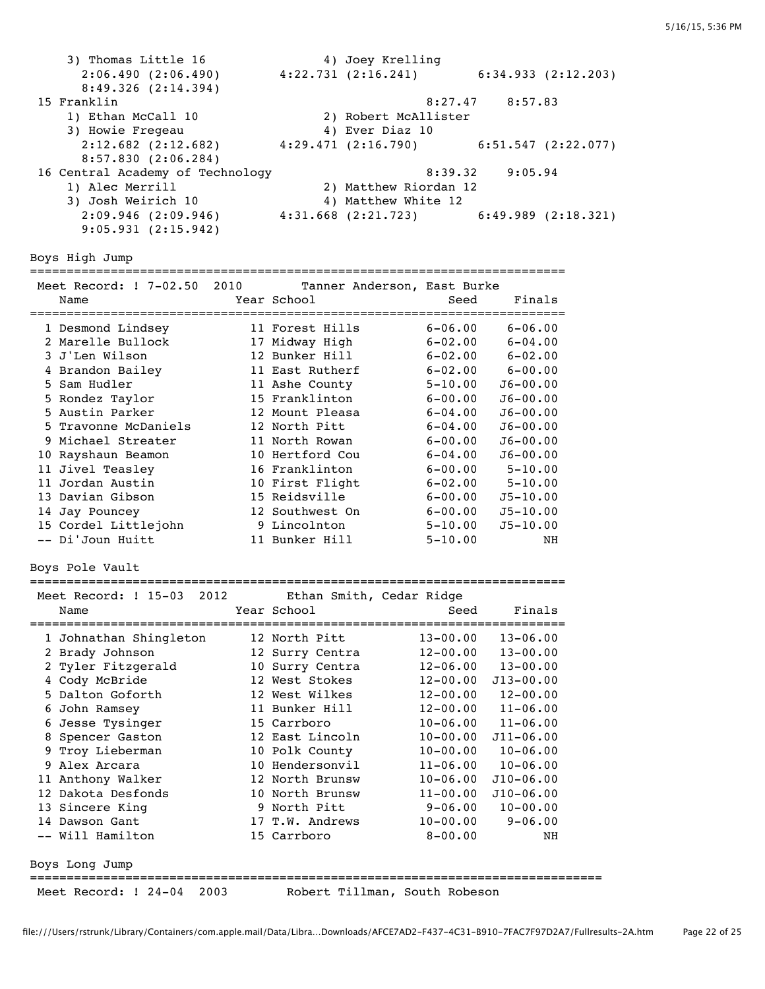3) Thomas Little 16 4) Joey Krelling 2:06.490 (2:06.490) 4:22.731 (2:16.241) 6:34.933 (2:12.203) 8:49.326 (2:14.394) 15 Franklin 8:27.47 8:57.83 1) Ethan McCall 10 2) Robert McAllister 3) Howie Fregeau 4) Ever Diaz 10 2:12.682 (2:12.682) 4:29.471 (2:16.790) 6:51.547 (2:22.077) 8:57.830 (2:06.284) 16 Central Academy of Technology 8:39.32 9:05.94 1) Alec Merrill 2) Matthew Riordan 12 3) Josh Weirich 10 4) Matthew White 12 2:09.946 (2:09.946) 4:31.668 (2:21.723) 6:49.989 (2:18.321) 9:05.931 (2:15.942) Boys High Jump ========================================================================= Meet Record: ! 7-02.50 2010 Tanner Anderson, East Burke Name The Year School Seed Finals ========================================================================= 1 Desmond Lindsey 11 Forest Hills 6-06.00 6-06.00 2 Marelle Bullock 17 Midway High 6-02.00 6-04.00 3 J'Len Wilson 12 Bunker Hill 6-02.00 6-02.00 4 Brandon Bailey 11 East Rutherf 6-02.00 6-00.00 5 Sam Hudler 11 Ashe County 5-10.00 J6-00.00 5 Rondez Taylor 15 Franklinton 6-00.00 J6-00.00 5 Austin Parker 12 Mount Pleasa 6-04.00 J6-00.00 5 Travonne McDaniels 12 North Pitt 6-04.00 J6-00.00 9 Michael Streater 11 North Rowan 6-00.00 J6-00.00 10 Rayshaun Beamon 10 Hertford Cou 6-04.00 J6-00.00 11 Jivel Teasley 16 Franklinton 6-00.00 5-10.00 11 Jordan Austin 10 First Flight 6-02.00 5-10.00 13 Davian Gibson 15 Reidsville 6-00.00 J5-10.00 14 Jay Pouncey 12 Southwest On 6-00.00 J5-10.00 15 Cordel Littlejohn 9 Lincolnton 5-10.00 J5-10.00 -- Di'Joun Huitt 11 Bunker Hill 5-10.00 NH Boys Pole Vault ========================================================================= Meet Record: ! 15-03 2012 Ethan Smith, Cedar Ridge Name **Name** Seed Finals (Name Seed Finals ========================================================================= 1 Johnathan Shingleton 12 North Pitt 13-00.00 13-06.00 2 Brady Johnson 12 Surry Centra 12-00.00 13-00.00 2 Tyler Fitzgerald 10 Surry Centra 12-06.00 13-00.00 4 Cody McBride 12 West Stokes 12-00.00 J13-00.00 5 Dalton Goforth 12 West Wilkes 12-00.00 12-00.00 6 John Ramsey 11 Bunker Hill 12-00.00 11-06.00 6 Jesse Tysinger 15 Carrboro 10-06.00 11-06.00 8 Spencer Gaston 12 East Lincoln 10-00.00 J11-06.00 9 Troy Lieberman 10 Polk County 10-00.00 10-06.00 9 Alex Arcara 10 Hendersonvil 11-06.00 10-06.00 11 Anthony Walker 12 North Brunsw 10-06.00 J10-06.00 12 Dakota Desfonds 10 North Brunsw 11-00.00 J10-06.00 13 Sincere King 9 North Pitt 9-06.00 10-00.00 14 Dawson Gant 17 T.W. Andrews 10-00.00 9-06.00 -- Will Hamilton 15 Carrboro 8-00.00 NH Boys Long Jump ============================================================================== Meet Record: ! 24-04 2003 Robert Tillman, South Robeson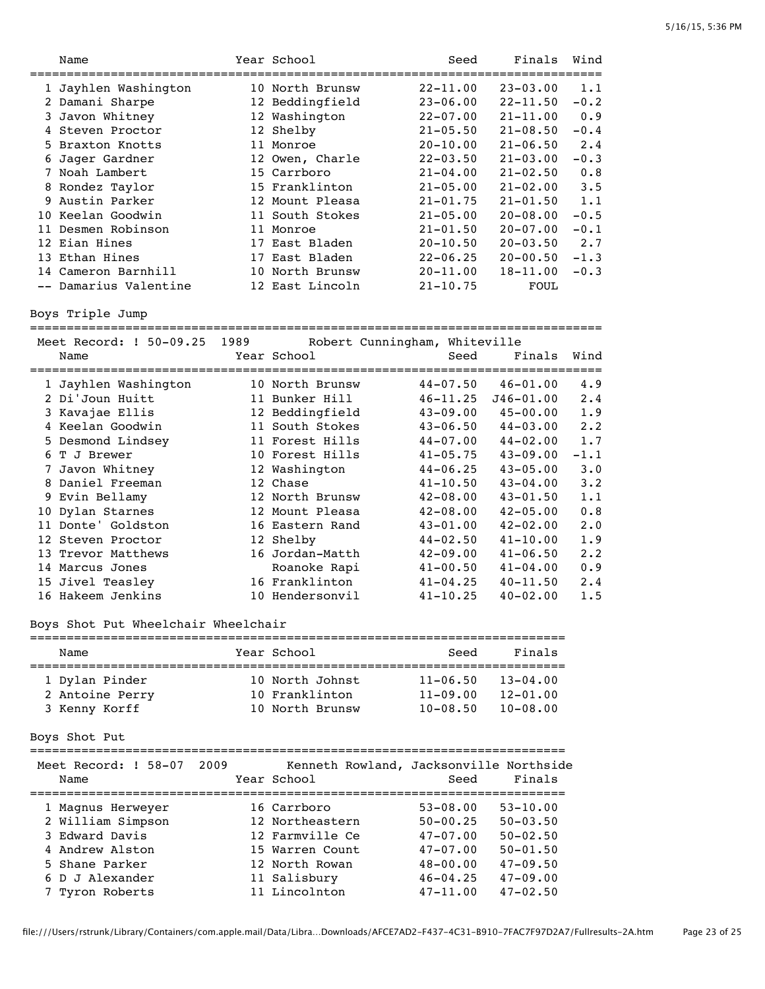|   | Name                    |      | Year School                   | Seed         | Finals        | Wind   |
|---|-------------------------|------|-------------------------------|--------------|---------------|--------|
|   | 1 Jayhlen Washington    |      | 10 North Brunsw               | $22 - 11.00$ | $23 - 03.00$  | 1.1    |
|   | 2 Damani Sharpe         |      | 12 Beddingfield               | $23 - 06.00$ | $22 - 11.50$  | $-0.2$ |
|   | 3 Javon Whitney         |      | 12 Washington                 | $22 - 07.00$ | $21 - 11.00$  | 0.9    |
|   | 4 Steven Proctor        |      | 12 Shelby                     | $21 - 05.50$ | $21 - 08.50$  | $-0.4$ |
|   | 5 Braxton Knotts        |      | 11 Monroe                     | $20 - 10.00$ | $21 - 06.50$  | 2.4    |
|   | 6 Jager Gardner         |      | 12 Owen, Charle               | $22 - 03.50$ | $21 - 03.00$  | $-0.3$ |
|   | 7 Noah Lambert          |      | 15 Carrboro                   | $21 - 04.00$ | $21 - 02.50$  | 0.8    |
|   | 8 Rondez Taylor         |      | 15 Franklinton                | $21 - 05.00$ | $21 - 02.00$  | 3.5    |
|   | 9 Austin Parker         |      | 12 Mount Pleasa               | $21 - 01.75$ | $21 - 01.50$  | 1.1    |
|   | 10 Keelan Goodwin       |      | 11 South Stokes               | $21 - 05.00$ | $20 - 08.00$  | $-0.5$ |
|   | 11 Desmen Robinson      |      | 11 Monroe                     | $21 - 01.50$ | $20 - 07.00$  | $-0.1$ |
|   | 12 Eian Hines           |      | 17 East Bladen                | $20 - 10.50$ | $20 - 03.50$  | 2.7    |
|   | 13 Ethan Hines          |      | 17 East Bladen                | $22 - 06.25$ | $20 - 00.50$  | $-1.3$ |
|   | 14 Cameron Barnhill     |      | 10 North Brunsw               | $20 - 11.00$ | $18 - 11.00$  | $-0.3$ |
|   | -- Damarius Valentine   |      | 12 East Lincoln               | $21 - 10.75$ | <b>FOUL</b>   |        |
|   | Boys Triple Jump        |      |                               |              |               |        |
|   | Meet Record: ! 50-09.25 | 1989 | Robert Cunningham, Whiteville |              |               |        |
|   | Name                    |      | Year School                   | Seed         | Finals        | Wind   |
|   | 1 Jayhlen Washington    |      | 10 North Brunsw               | $44 - 07.50$ | $46 - 01.00$  | 4.9    |
|   | 2 Di'Joun Huitt         |      | 11 Bunker Hill                | $46 - 11.25$ | $J46 - 01.00$ | 2.4    |
|   | 3 Kavajae Ellis         |      | 12 Beddingfield               | $43 - 09.00$ | $45 - 00.00$  | 1.9    |
|   | 4 Keelan Goodwin        |      | 11 South Stokes               | $43 - 06.50$ | $44 - 03.00$  | 2.2    |
|   | 5 Desmond Lindsey       |      | 11 Forest Hills               | $44 - 07.00$ | $44 - 02.00$  | 1.7    |
| 6 | T J Brewer              |      | 10 Forest Hills               | $41 - 05.75$ | $43 - 09.00$  | $-1.1$ |
| 7 | Javon Whitney           |      | 12 Washington                 | $44 - 06.25$ | $43 - 05.00$  | 3.0    |
|   | 8 Daniel Freeman        |      | 12 Chase                      | $41 - 10.50$ | $43 - 04.00$  | 3.2    |
|   | 9 Evin Bellamy          |      | 12 North Brunsw               | $42 - 08.00$ | $43 - 01.50$  | 1.1    |

## Boys Shot Put Wheelchair Wheelchair

| Name            | Year School     | Seed         | Finals       |  |  |  |  |
|-----------------|-----------------|--------------|--------------|--|--|--|--|
|                 |                 |              |              |  |  |  |  |
| 1 Dylan Pinder  | 10 North Johnst | $11 - 06.50$ | $13 - 04.00$ |  |  |  |  |
| 2 Antoine Perry | 10 Franklinton  | $11 - 09.00$ | $12 - 01.00$ |  |  |  |  |
| 3 Kenny Korff   | 10 North Brunsw | $10 - 08.50$ | $10 - 08.00$ |  |  |  |  |

15 Jivel Teasley 16 Franklinton 41-04.25 40-11.50 16 Hakeem Jenkins 10 Hendersonvil 41-10.25 40-02.00 1.5

10 Dylan Starnes 12 Mount Pleasa 42-08.00 42-05.00 0.8

 12 Steven Proctor 12 Shelby 44-02.50 41-10.00 1.9 13 Trevor Matthews 16 Jordan-Matth 42-09.00 41-06.50 2.2

Boys Shot Put

| Meet Record: ! 58-07<br>Name | 2009 | Kenneth Rowland, Jacksonville Northside<br>Year School | Seed         | Finals       |
|------------------------------|------|--------------------------------------------------------|--------------|--------------|
| 1 Magnus Herweyer            |      | 16 Carrboro                                            | $53 - 08.00$ | $53 - 10.00$ |
| 2 William Simpson            |      | 12 Northeastern                                        | $50 - 00.25$ | $50 - 03.50$ |
| 3 Edward Davis               |      | 12 Farmville Ce                                        | $47 - 07.00$ | $50 - 02.50$ |
| 4 Andrew Alston              |      | 15 Warren Count                                        | $47 - 07.00$ | $50 - 01.50$ |
| 5 Shane Parker               |      | 12 North Rowan                                         | $48 - 00.00$ | $47 - 09.50$ |
| 6 D J Alexander              |      | 11 Salisbury                                           | $46 - 04.25$ | $47 - 09.00$ |
| 7 Tyron Roberts              |      | 11 Lincolnton                                          | $47 - 11.00$ | $47 - 02.50$ |

16 Eastern Rand 43-01.00 42-02.00 2.0

Roanoke Rapi 41-00.50 41-04.00 0.9<br>11-04.25 40-11.50 2.4 6 Franklinton 41-04.25 40-11.50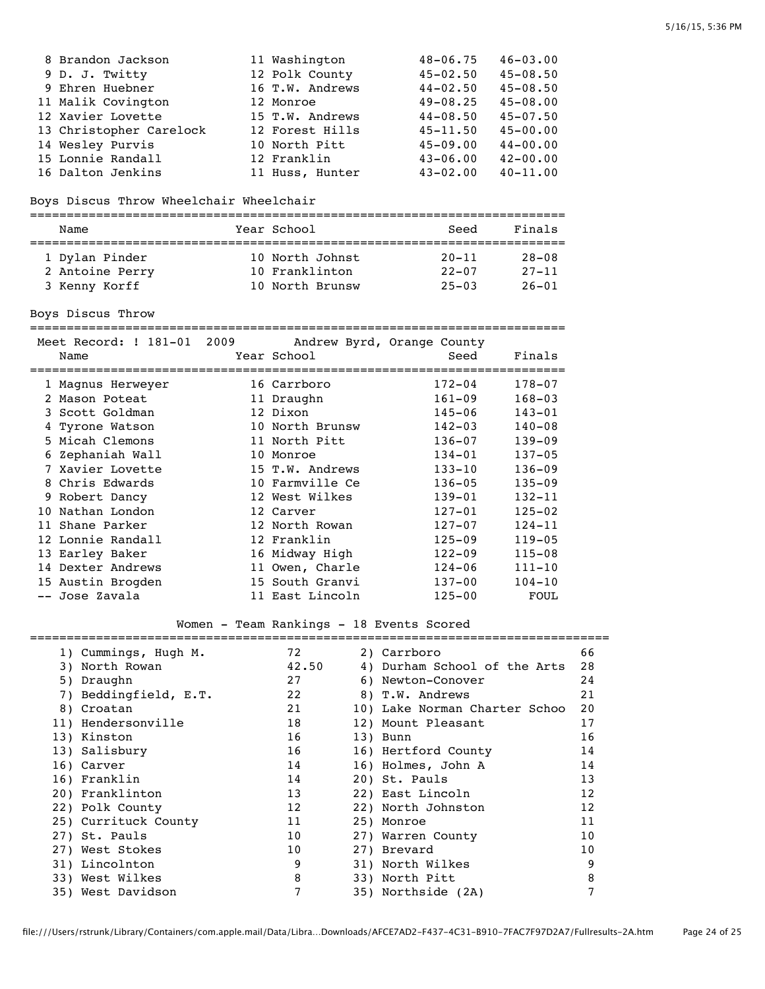| 8 Brandon Jackson       | 11 Washington   | $48 - 06.75$ | $46 - 03.00$ |
|-------------------------|-----------------|--------------|--------------|
| 9 D. J. Twitty          | 12 Polk County  | $45 - 02.50$ | $45 - 08.50$ |
| 9 Ehren Huebner         | 16 T.W. Andrews | $44 - 02.50$ | $45 - 08.50$ |
| 11 Malik Covington      | 12 Monroe       | $49 - 08.25$ | $45 - 08.00$ |
| 12 Xavier Lovette       | 15 T.W. Andrews | $44 - 08.50$ | $45 - 07.50$ |
| 13 Christopher Carelock | 12 Forest Hills | $45 - 11.50$ | $45 - 00.00$ |
| 14 Wesley Purvis        | 10 North Pitt   | $45 - 09.00$ | $44 - 00.00$ |
| 15 Lonnie Randall       | 12 Franklin     | $43 - 06.00$ | $42 - 00.00$ |
| 16 Dalton Jenkins       | 11 Huss, Hunter | $43 - 02.00$ | $40 - 11.00$ |

# Boys Discus Throw Wheelchair Wheelchair

| Name            | Year School     | Seed      | Finals    |
|-----------------|-----------------|-----------|-----------|
|                 |                 |           |           |
| 1 Dylan Pinder  | 10 North Johnst | $20 - 11$ | $28 - 08$ |
| 2 Antoine Perry | 10 Franklinton  | $22 - 07$ | $27 - 11$ |
| 3 Kenny Korff   | 10 North Brunsw | $25 - 03$ | $26 - 01$ |

Boys Discus Throw

|     | Meet Record: ! 181-01 2009<br>Name | Year School     | Andrew Byrd, Orange County<br>Seed | Finals     |
|-----|------------------------------------|-----------------|------------------------------------|------------|
|     | 1 Magnus Herweyer                  | 16 Carrboro     | $172 - 04$                         | 178-07     |
|     | 2 Mason Poteat                     | 11 Draughn      | $161 - 09$                         | $168 - 03$ |
|     | 3 Scott Goldman                    | 12 Dixon        | 145-06                             | $143 - 01$ |
|     | 4 Tyrone Watson                    | 10 North Brunsw | $142 - 03$                         | $140 - 08$ |
|     | 5 Micah Clemons                    | 11 North Pitt   | $136 - 07$                         | $139 - 09$ |
|     | 6 Zephaniah Wall                   | 10 Monroe       | $134 - 01$                         | $137 - 05$ |
|     | 7 Xavier Lovette                   | 15 T.W. Andrews | $133 - 10$                         | $136 - 09$ |
|     | 8 Chris Edwards                    | 10 Farmville Ce | $136 - 05$                         | $135 - 09$ |
|     | 9 Robert Dancy                     | 12 West Wilkes  | $139 - 01$                         | $132 - 11$ |
| 1 O | Nathan London                      | 12 Carver       | $127 - 01$                         | $125 - 02$ |
|     | 11 Shane Parker                    | 12 North Rowan  | $127 - 07$                         | $124 - 11$ |
|     | 12 Lonnie Randall                  | 12 Franklin     | $125 - 09$                         | $119 - 05$ |
|     | 13 Earley Baker                    | 16 Midway High  | $122 - 09$                         | $115 - 08$ |
|     | 14 Dexter Andrews                  | 11 Owen, Charle | $124 - 06$                         | $111 - 10$ |
|     | 15 Austin Brogden                  | 15 South Granvi | $137 - 00$                         | $104 - 10$ |
|     | -- Jose Zavala                     | 11 East Lincoln | $125 - 00$                         | FOUL       |

# Women - Team Rankings - 18 Events Scored

| 1) Cummings, Hugh M.  | 72    | 2) Carrboro                   | 66 |
|-----------------------|-------|-------------------------------|----|
| 3) North Rowan        | 42.50 | 4) Durham School of the Arts  | 28 |
| 5) Draughn            | 27    | 6) Newton-Conover             | 24 |
| 7) Beddingfield, E.T. | 22    | 8) T.W. Andrews               | 21 |
| 8) Croatan            | 21    | 10) Lake Norman Charter Schoo | 20 |
| 11) Hendersonville    | 18    | 12) Mount Pleasant            | 17 |
| 13) Kinston           | 16    | 13) Bunn                      | 16 |
| 13) Salisbury         | 16    | 16) Hertford County           | 14 |
| 16) Carver            | 14    | 16) Holmes, John A            | 14 |
| 16) Franklin          | 14    | 20) St. Pauls                 | 13 |
| 20) Franklinton       | 13    | 22) East Lincoln              | 12 |
| 22) Polk County       | 12    | 22) North Johnston            | 12 |
| 25) Currituck County  | 11    | 25) Monroe                    | 11 |
| 27) St. Pauls         | 10    | 27) Warren County             | 10 |
| 27) West Stokes       | 10    | 27) Brevard                   | 10 |
| 31) Lincolnton        | 9     | 31) North Wilkes              | 9  |
| 33) West Wilkes       | 8     | 33) North Pitt                | 8  |
| 35) West Davidson     | 7     | 35) Northside (2A)            |    |